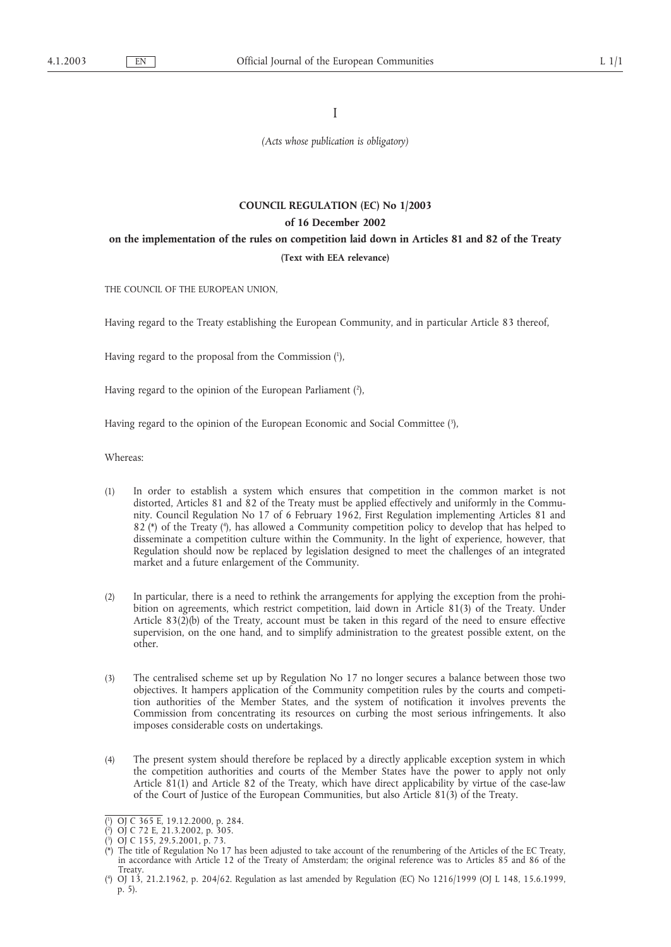I

*(Acts whose publication is obligatory)*

# **COUNCIL REGULATION (EC) No 1/2003 of 16 December 2002 on the implementation of the rules on competition laid down in Articles 81 and 82 of the Treaty (Text with EEA relevance)**

THE COUNCIL OF THE EUROPEAN UNION,

Having regard to the Treaty establishing the European Community, and in particular Article 83 thereof,

Having regard to the proposal from the Commission (1 ),

Having regard to the opinion of the European Parliament (2),

Having regard to the opinion of the European Economic and Social Committee (3),

#### Whereas:

- (1) In order to establish a system which ensures that competition in the common market is not distorted, Articles 81 and 82 of the Treaty must be applied effectively and uniformly in the Community. Council Regulation No 17 of 6 February 1962, First Regulation implementing Articles 81 and 82 (\*) of the Treaty (\*), has allowed a Community competition policy to develop that has helped to disseminate a competition culture within the Community. In the light of experience, however, that Regulation should now be replaced by legislation designed to meet the challenges of an integrated market and a future enlargement of the Community.
- (2) In particular, there is a need to rethink the arrangements for applying the exception from the prohibition on agreements, which restrict competition, laid down in Article 81(3) of the Treaty. Under Article  $83(2)(b)$  of the Treaty, account must be taken in this regard of the need to ensure effective supervision, on the one hand, and to simplify administration to the greatest possible extent, on the other.
- (3) The centralised scheme set up by Regulation No 17 no longer secures a balance between those two objectives. It hampers application of the Community competition rules by the courts and competition authorities of the Member States, and the system of notification it involves prevents the Commission from concentrating its resources on curbing the most serious infringements. It also imposes considerable costs on undertakings.
- (4) The present system should therefore be replaced by a directly applicable exception system in which the competition authorities and courts of the Member States have the power to apply not only Article  $81(1)$  and Article 82 of the Treaty, which have direct applicability by virtue of the case-law of the Court of Justice of the European Communities, but also Article 81(3) of the Treaty.

<sup>(</sup> 1 ) OJ C 365 E, 19.12.2000, p. 284.

<sup>(</sup> 2 ) OJ C 72 E, 21.3.2002, p. 305.

<sup>(</sup> 3 ) OJ C 155, 29.5.2001, p. 73.

<sup>(\*)</sup> The title of Regulation No 17 has been adjusted to take account of the renumbering of the Articles of the EC Treaty, in accordance with Article 12 of the Treaty of Amsterdam; the original reference was to Articles 85 and 86 of the Treaty.

<sup>(</sup> 4 ) OJ 13, 21.2.1962, p. 204/62. Regulation as last amended by Regulation (EC) No 1216/1999 (OJ L 148, 15.6.1999, p. 5).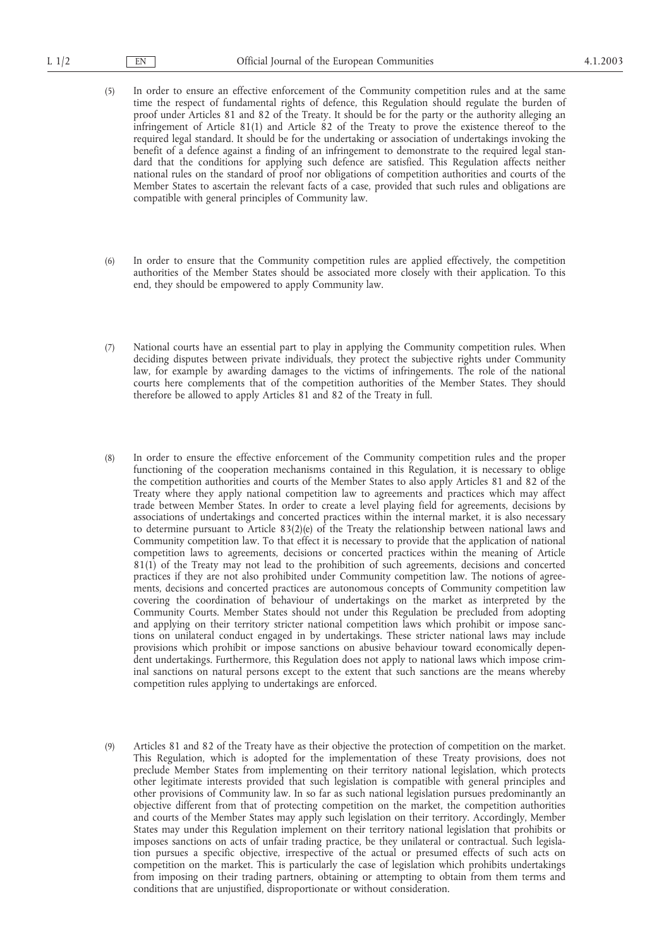- (5) In order to ensure an effective enforcement of the Community competition rules and at the same time the respect of fundamental rights of defence, this Regulation should regulate the burden of proof under Articles 81 and 82 of the Treaty. It should be for the party or the authority alleging an infringement of Article 81(1) and Article 82 of the Treaty to prove the existence thereof to the required legal standard. It should be for the undertaking or association of undertakings invoking the benefit of a defence against a finding of an infringement to demonstrate to the required legal standard that the conditions for applying such defence are satisfied. This Regulation affects neither national rules on the standard of proof nor obligations of competition authorities and courts of the Member States to ascertain the relevant facts of a case, provided that such rules and obligations are compatible with general principles of Community law.
- (6) In order to ensure that the Community competition rules are applied effectively, the competition authorities of the Member States should be associated more closely with their application. To this end, they should be empowered to apply Community law.
- (7) National courts have an essential part to play in applying the Community competition rules. When deciding disputes between private individuals, they protect the subjective rights under Community law, for example by awarding damages to the victims of infringements. The role of the national courts here complements that of the competition authorities of the Member States. They should therefore be allowed to apply Articles 81 and 82 of the Treaty in full.
- (8) In order to ensure the effective enforcement of the Community competition rules and the proper functioning of the cooperation mechanisms contained in this Regulation, it is necessary to oblige the competition authorities and courts of the Member States to also apply Articles 81 and 82 of the Treaty where they apply national competition law to agreements and practices which may affect trade between Member States. In order to create a level playing field for agreements, decisions by associations of undertakings and concerted practices within the internal market, it is also necessary to determine pursuant to Article 83(2)(e) of the Treaty the relationship between national laws and Community competition law. To that effect it is necessary to provide that the application of national competition laws to agreements, decisions or concerted practices within the meaning of Article 81(1) of the Treaty may not lead to the prohibition of such agreements, decisions and concerted practices if they are not also prohibited under Community competition law. The notions of agreements, decisions and concerted practices are autonomous concepts of Community competition law covering the coordination of behaviour of undertakings on the market as interpreted by the Community Courts. Member States should not under this Regulation be precluded from adopting and applying on their territory stricter national competition laws which prohibit or impose sanctions on unilateral conduct engaged in by undertakings. These stricter national laws may include provisions which prohibit or impose sanctions on abusive behaviour toward economically dependent undertakings. Furthermore, this Regulation does not apply to national laws which impose criminal sanctions on natural persons except to the extent that such sanctions are the means whereby competition rules applying to undertakings are enforced.
- (9) Articles 81 and 82 of the Treaty have as their objective the protection of competition on the market. This Regulation, which is adopted for the implementation of these Treaty provisions, does not preclude Member States from implementing on their territory national legislation, which protects other legitimate interests provided that such legislation is compatible with general principles and other provisions of Community law. In so far as such national legislation pursues predominantly an objective different from that of protecting competition on the market, the competition authorities and courts of the Member States may apply such legislation on their territory. Accordingly, Member States may under this Regulation implement on their territory national legislation that prohibits or imposes sanctions on acts of unfair trading practice, be they unilateral or contractual. Such legislation pursues a specific objective, irrespective of the actual or presumed effects of such acts on competition on the market. This is particularly the case of legislation which prohibits undertakings from imposing on their trading partners, obtaining or attempting to obtain from them terms and conditions that are unjustified, disproportionate or without consideration.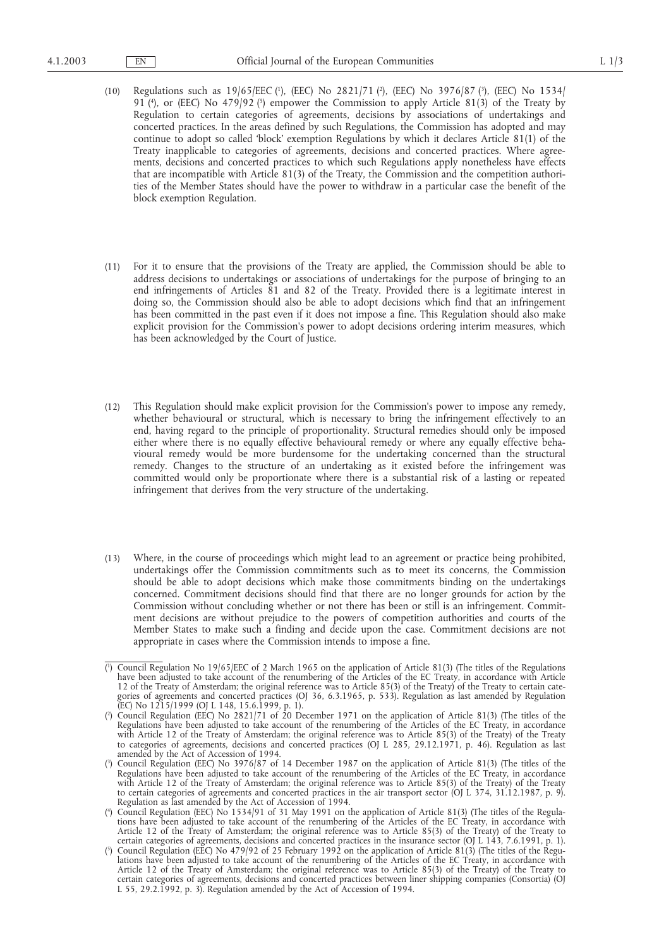- (10) Regulations such as 19/65/EEC (<sup>1</sup>), (EEC) No 2821/71 (<sup>2</sup>), (EEC) No 3976/87 (<sup>3</sup>), (EEC) No 1534/ 91 (4), or (EEC) No 479/92 (5) empower the Commission to apply Article 81(3) of the Treaty by Regulation to certain categories of agreements, decisions by associations of undertakings and concerted practices. In the areas defined by such Regulations, the Commission has adopted and may continue to adopt so called 'block' exemption Regulations by which it declares Article 81(1) of the Treaty inapplicable to categories of agreements, decisions and concerted practices. Where agreements, decisions and concerted practices to which such Regulations apply nonetheless have effects that are incompatible with Article 81(3) of the Treaty, the Commission and the competition authorities of the Member States should have the power to withdraw in a particular case the benefit of the block exemption Regulation.
- (11) For it to ensure that the provisions of the Treaty are applied, the Commission should be able to address decisions to undertakings or associations of undertakings for the purpose of bringing to an end infringements of Articles 81 and 82 of the Treaty. Provided there is a legitimate interest in doing so, the Commission should also be able to adopt decisions which find that an infringement has been committed in the past even if it does not impose a fine. This Regulation should also make explicit provision for the Commission's power to adopt decisions ordering interim measures, which has been acknowledged by the Court of Justice.
- (12) This Regulation should make explicit provision for the Commission's power to impose any remedy, whether behavioural or structural, which is necessary to bring the infringement effectively to an end, having regard to the principle of proportionality. Structural remedies should only be imposed either where there is no equally effective behavioural remedy or where any equally effective behavioural remedy would be more burdensome for the undertaking concerned than the structural remedy. Changes to the structure of an undertaking as it existed before the infringement was committed would only be proportionate where there is a substantial risk of a lasting or repeated infringement that derives from the very structure of the undertaking.
- (13) Where, in the course of proceedings which might lead to an agreement or practice being prohibited, undertakings offer the Commission commitments such as to meet its concerns, the Commission should be able to adopt decisions which make those commitments binding on the undertakings concerned. Commitment decisions should find that there are no longer grounds for action by the Commission without concluding whether or not there has been or still is an infringement. Commitment decisions are without prejudice to the powers of competition authorities and courts of the Member States to make such a finding and decide upon the case. Commitment decisions are not appropriate in cases where the Commission intends to impose a fine.

<sup>(</sup> 1 ) Council Regulation No 19/65/EEC of 2 March 1965 on the application of Article 81(3) (The titles of the Regulations have been adjusted to take account of the renumbering of the Articles of the EC Treaty, in accordance with Article 12 of the Treaty of Amsterdam; the original reference was to Article 85(3) of the Treaty) of the Treaty to certain categories of agreements and concerted practices (OJ 36, 6.3.1965, p. 533). Regulation as last amended by Regulation (EC) No 1215/1999 (OJ L 148, 15.6.1999, p. 1).

<sup>(</sup> 2 ) Council Regulation (EEC) No 2821/71 of 20 December 1971 on the application of Article 81(3) (The titles of the Regulations have been adjusted to take account of the renumbering of the Articles of the EC Treaty, in accordance with Article 12 of the Treaty of Amsterdam; the original reference was to Article 85(3) of the Treaty) of the Treaty to categories of agreements, decisions and concerted practices (OJ L 285, 29.12.1971, p. 46). Regulation as last amended by the Act of Accession of 1994.

<sup>(</sup> 3 ) Council Regulation (EEC) No 3976/87 of 14 December 1987 on the application of Article 81(3) (The titles of the Regulations have been adjusted to take account of the renumbering of the Articles of the EC Treaty, in accordance with Article 12 of the Treaty of Amsterdam; the original reference was to Article 85(3) of the Treaty) of the Treaty to certain categories of agreements and concerted practices in the air transport sector (OJ L 374, 31.12.1987, p. 9). Regulation as last amended by the Act of Accession of 1994.

<sup>(</sup> 4 ) Council Regulation (EEC) No 1534/91 of 31 May 1991 on the application of Article 81(3) (The titles of the Regulations have been adjusted to take account of the renumbering of the Articles of the EC Treaty, in accordance with Article 12 of the Treaty of Amsterdam; the original reference was to Article 85(3) of the Treaty) of the Treaty to certain categories of agreements, decisions and concerted practices in the insurance sector (OJ L 143, 7.6.1991, p. 1).

<sup>(</sup> 5 ) Council Regulation (EEC) No 479/92 of 25 February 1992 on the application of Article 81(3) (The titles of the Regulations have been adjusted to take account of the renumbering of the Articles of the EC Treaty, in accordance with Article 12 of the Treaty of Amsterdam; the original reference was to Article 85(3) of the Treaty) of the Treaty to certain categories of agreements, decisions and concerted practices between liner shipping companies (Consortia) (OJ L 55, 29.2.1992, p. 3). Regulation amended by the Act of Accession of 1994.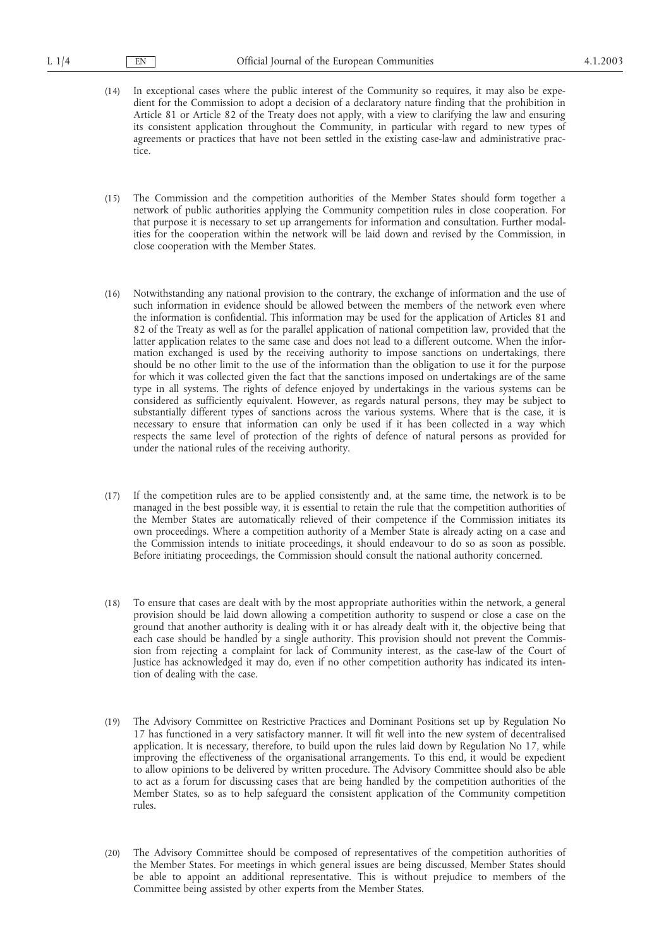- (14) In exceptional cases where the public interest of the Community so requires, it may also be expedient for the Commission to adopt a decision of a declaratory nature finding that the prohibition in Article 81 or Article 82 of the Treaty does not apply, with a view to clarifying the law and ensuring its consistent application throughout the Community, in particular with regard to new types of agreements or practices that have not been settled in the existing case-law and administrative practice.
- (15) The Commission and the competition authorities of the Member States should form together a network of public authorities applying the Community competition rules in close cooperation. For that purpose it is necessary to set up arrangements for information and consultation. Further modalities for the cooperation within the network will be laid down and revised by the Commission, in close cooperation with the Member States.
- (16) Notwithstanding any national provision to the contrary, the exchange of information and the use of such information in evidence should be allowed between the members of the network even where the information is confidential. This information may be used for the application of Articles 81 and 82 of the Treaty as well as for the parallel application of national competition law, provided that the latter application relates to the same case and does not lead to a different outcome. When the information exchanged is used by the receiving authority to impose sanctions on undertakings, there should be no other limit to the use of the information than the obligation to use it for the purpose for which it was collected given the fact that the sanctions imposed on undertakings are of the same type in all systems. The rights of defence enjoyed by undertakings in the various systems can be considered as sufficiently equivalent. However, as regards natural persons, they may be subject to substantially different types of sanctions across the various systems. Where that is the case, it is necessary to ensure that information can only be used if it has been collected in a way which respects the same level of protection of the rights of defence of natural persons as provided for under the national rules of the receiving authority.
- (17) If the competition rules are to be applied consistently and, at the same time, the network is to be managed in the best possible way, it is essential to retain the rule that the competition authorities of the Member States are automatically relieved of their competence if the Commission initiates its own proceedings. Where a competition authority of a Member State is already acting on a case and the Commission intends to initiate proceedings, it should endeavour to do so as soon as possible. Before initiating proceedings, the Commission should consult the national authority concerned.
- (18) To ensure that cases are dealt with by the most appropriate authorities within the network, a general provision should be laid down allowing a competition authority to suspend or close a case on the ground that another authority is dealing with it or has already dealt with it, the objective being that each case should be handled by a single authority. This provision should not prevent the Commission from rejecting a complaint for lack of Community interest, as the case-law of the Court of Justice has acknowledged it may do, even if no other competition authority has indicated its intention of dealing with the case.
- (19) The Advisory Committee on Restrictive Practices and Dominant Positions set up by Regulation No 17 has functioned in a very satisfactory manner. It will fit well into the new system of decentralised application. It is necessary, therefore, to build upon the rules laid down by Regulation No 17, while improving the effectiveness of the organisational arrangements. To this end, it would be expedient to allow opinions to be delivered by written procedure. The Advisory Committee should also be able to act as a forum for discussing cases that are being handled by the competition authorities of the Member States, so as to help safeguard the consistent application of the Community competition rules.
- (20) The Advisory Committee should be composed of representatives of the competition authorities of the Member States. For meetings in which general issues are being discussed, Member States should be able to appoint an additional representative. This is without prejudice to members of the Committee being assisted by other experts from the Member States.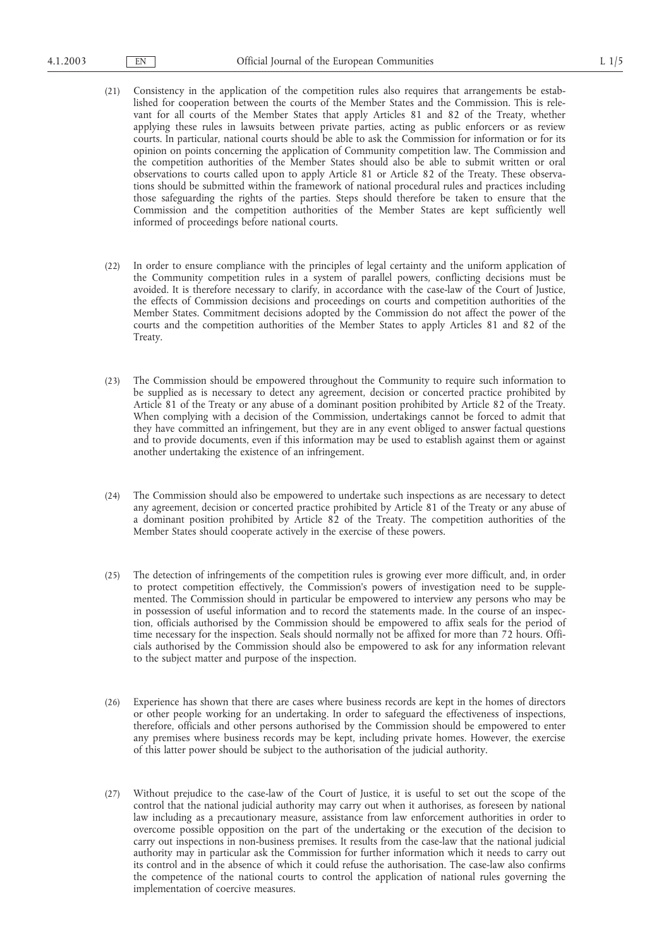- (21) Consistency in the application of the competition rules also requires that arrangements be established for cooperation between the courts of the Member States and the Commission. This is relevant for all courts of the Member States that apply Articles 81 and 82 of the Treaty, whether applying these rules in lawsuits between private parties, acting as public enforcers or as review courts. In particular, national courts should be able to ask the Commission for information or for its opinion on points concerning the application of Community competition law. The Commission and the competition authorities of the Member States should also be able to submit written or oral observations to courts called upon to apply Article 81 or Article 82 of the Treaty. These observations should be submitted within the framework of national procedural rules and practices including those safeguarding the rights of the parties. Steps should therefore be taken to ensure that the Commission and the competition authorities of the Member States are kept sufficiently well informed of proceedings before national courts.
- (22) In order to ensure compliance with the principles of legal certainty and the uniform application of the Community competition rules in a system of parallel powers, conflicting decisions must be avoided. It is therefore necessary to clarify, in accordance with the case-law of the Court of Justice, the effects of Commission decisions and proceedings on courts and competition authorities of the Member States. Commitment decisions adopted by the Commission do not affect the power of the courts and the competition authorities of the Member States to apply Articles 81 and 82 of the Treaty.
- (23) The Commission should be empowered throughout the Community to require such information to be supplied as is necessary to detect any agreement, decision or concerted practice prohibited by Article 81 of the Treaty or any abuse of a dominant position prohibited by Article 82 of the Treaty. When complying with a decision of the Commission, undertakings cannot be forced to admit that they have committed an infringement, but they are in any event obliged to answer factual questions and to provide documents, even if this information may be used to establish against them or against another undertaking the existence of an infringement.
- (24) The Commission should also be empowered to undertake such inspections as are necessary to detect any agreement, decision or concerted practice prohibited by Article 81 of the Treaty or any abuse of a dominant position prohibited by Article 82 of the Treaty. The competition authorities of the Member States should cooperate actively in the exercise of these powers.
- (25) The detection of infringements of the competition rules is growing ever more difficult, and, in order to protect competition effectively, the Commission's powers of investigation need to be supplemented. The Commission should in particular be empowered to interview any persons who may be in possession of useful information and to record the statements made. In the course of an inspection, officials authorised by the Commission should be empowered to affix seals for the period of time necessary for the inspection. Seals should normally not be affixed for more than 72 hours. Officials authorised by the Commission should also be empowered to ask for any information relevant to the subject matter and purpose of the inspection.
- (26) Experience has shown that there are cases where business records are kept in the homes of directors or other people working for an undertaking. In order to safeguard the effectiveness of inspections, therefore, officials and other persons authorised by the Commission should be empowered to enter any premises where business records may be kept, including private homes. However, the exercise of this latter power should be subject to the authorisation of the judicial authority.
- (27) Without prejudice to the case-law of the Court of Justice, it is useful to set out the scope of the control that the national judicial authority may carry out when it authorises, as foreseen by national law including as a precautionary measure, assistance from law enforcement authorities in order to overcome possible opposition on the part of the undertaking or the execution of the decision to carry out inspections in non-business premises. It results from the case-law that the national judicial authority may in particular ask the Commission for further information which it needs to carry out its control and in the absence of which it could refuse the authorisation. The case-law also confirms the competence of the national courts to control the application of national rules governing the implementation of coercive measures.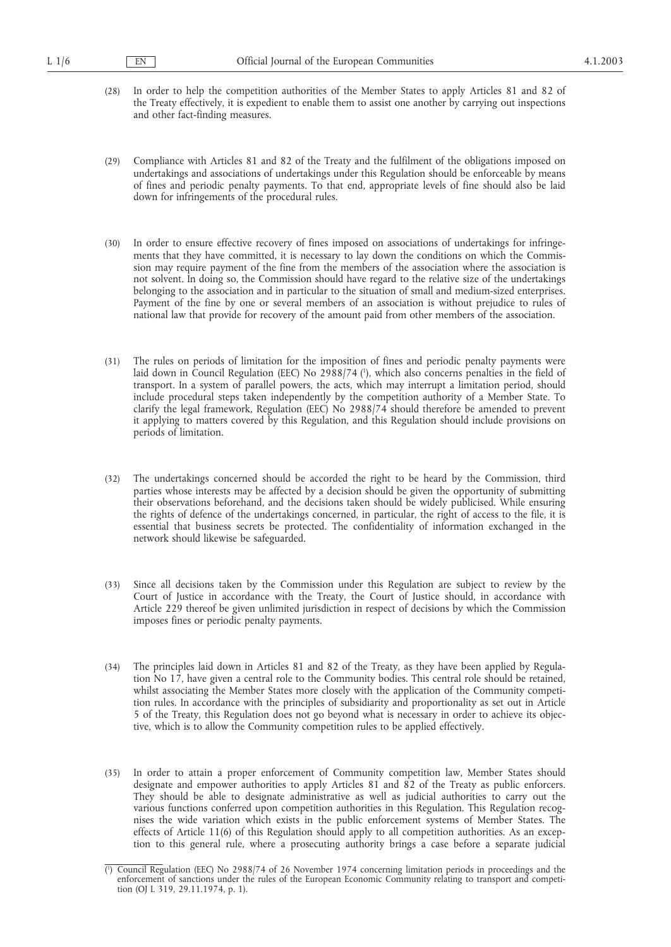- (28) In order to help the competition authorities of the Member States to apply Articles 81 and 82 of the Treaty effectively, it is expedient to enable them to assist one another by carrying out inspections and other fact-finding measures.
- (29) Compliance with Articles 81 and 82 of the Treaty and the fulfilment of the obligations imposed on undertakings and associations of undertakings under this Regulation should be enforceable by means of fines and periodic penalty payments. To that end, appropriate levels of fine should also be laid down for infringements of the procedural rules.
- (30) In order to ensure effective recovery of fines imposed on associations of undertakings for infringements that they have committed, it is necessary to lay down the conditions on which the Commission may require payment of the fine from the members of the association where the association is not solvent. In doing so, the Commission should have regard to the relative size of the undertakings belonging to the association and in particular to the situation of small and medium-sized enterprises. Payment of the fine by one or several members of an association is without prejudice to rules of national law that provide for recovery of the amount paid from other members of the association.
- (31) The rules on periods of limitation for the imposition of fines and periodic penalty payments were laid down in Council Regulation (EEC) No 2988/74 (1 ), which also concerns penalties in the field of transport. In a system of parallel powers, the acts, which may interrupt a limitation period, should include procedural steps taken independently by the competition authority of a Member State. To clarify the legal framework, Regulation (EEC) No 2988/74 should therefore be amended to prevent it applying to matters covered by this Regulation, and this Regulation should include provisions on periods of limitation.
- (32) The undertakings concerned should be accorded the right to be heard by the Commission, third parties whose interests may be affected by a decision should be given the opportunity of submitting their observations beforehand, and the decisions taken should be widely publicised. While ensuring the rights of defence of the undertakings concerned, in particular, the right of access to the file, it is essential that business secrets be protected. The confidentiality of information exchanged in the network should likewise be safeguarded.
- (33) Since all decisions taken by the Commission under this Regulation are subject to review by the Court of Justice in accordance with the Treaty, the Court of Justice should, in accordance with Article 229 thereof be given unlimited jurisdiction in respect of decisions by which the Commission imposes fines or periodic penalty payments.
- (34) The principles laid down in Articles 81 and 82 of the Treaty, as they have been applied by Regulation No 17, have given a central role to the Community bodies. This central role should be retained, whilst associating the Member States more closely with the application of the Community competition rules. In accordance with the principles of subsidiarity and proportionality as set out in Article 5 of the Treaty, this Regulation does not go beyond what is necessary in order to achieve its objective, which is to allow the Community competition rules to be applied effectively.
- (35) In order to attain a proper enforcement of Community competition law, Member States should designate and empower authorities to apply Articles 81 and 82 of the Treaty as public enforcers. They should be able to designate administrative as well as judicial authorities to carry out the various functions conferred upon competition authorities in this Regulation. This Regulation recognises the wide variation which exists in the public enforcement systems of Member States. The effects of Article 11(6) of this Regulation should apply to all competition authorities. As an exception to this general rule, where a prosecuting authority brings a case before a separate judicial

<sup>(</sup> 1 ) Council Regulation (EEC) No 2988/74 of 26 November 1974 concerning limitation periods in proceedings and the enforcement of sanctions under the rules of the European Economic Community relating to transport and competition (OJ L 319, 29.11.1974, p. 1).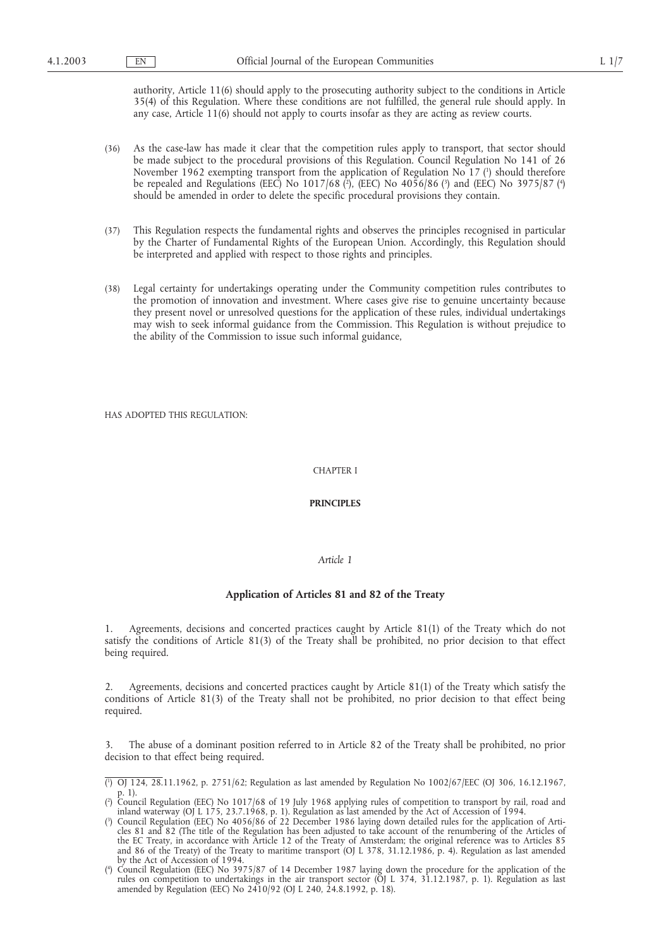- (36) As the case-law has made it clear that the competition rules apply to transport, that sector should be made subject to the procedural provisions of this Regulation. Council Regulation No 141 of 26 November 1962 exempting transport from the application of Regulation No 17 (!) should therefore be repealed and Regulations (EEC) No 1017/68 (?), (EEC) No 4056/86 (?) and (EEC) No 3975/87 (\*) should be amended in order to delete the specific procedural provisions they contain.
- (37) This Regulation respects the fundamental rights and observes the principles recognised in particular by the Charter of Fundamental Rights of the European Union. Accordingly, this Regulation should be interpreted and applied with respect to those rights and principles.
- (38) Legal certainty for undertakings operating under the Community competition rules contributes to the promotion of innovation and investment. Where cases give rise to genuine uncertainty because they present novel or unresolved questions for the application of these rules, individual undertakings may wish to seek informal guidance from the Commission. This Regulation is without prejudice to the ability of the Commission to issue such informal guidance,

HAS ADOPTED THIS REGULATION:

#### CHAPTER I

**PRINCIPLES** 

# *Article 1*

#### **Application of Articles 81 and 82 of the Treaty**

1. Agreements, decisions and concerted practices caught by Article 81(1) of the Treaty which do not satisfy the conditions of Article 81(3) of the Treaty shall be prohibited, no prior decision to that effect being required.

2. Agreements, decisions and concerted practices caught by Article 81(1) of the Treaty which satisfy the conditions of Article 81(3) of the Treaty shall not be prohibited, no prior decision to that effect being required.

3. The abuse of a dominant position referred to in Article 82 of the Treaty shall be prohibited, no prior decision to that effect being required.

 $($ <sup>1</sup> ) OJ 124, 28.11.1962, p. 2751/62; Regulation as last amended by Regulation No 1002/67/EEC (OJ 306, 16.12.1967,  $p. (1)$ .

<sup>(</sup> 2 ) Council Regulation (EEC) No 1017/68 of 19 July 1968 applying rules of competition to transport by rail, road and inland waterway (OJ L 175, 23.7.1968, p. 1). Regulation as last amended by the Act of Accession of 1994.

<sup>(</sup> 3 ) Council Regulation (EEC) No 4056/86 of 22 December 1986 laying down detailed rules for the application of Articles 81 and 82 (The title of the Regulation has been adjusted to take account of the renumbering of the Articles of the EC Treaty, in accordance with Article 12 of the Treaty of Amsterdam; the original reference was to Articles 85 and 86 of the Treaty) of the Treaty to maritime transport (OJ L 378, 31.12.1986, p. 4). Regulation as last amended by the Act of Accession of 1994.

<sup>(</sup> 4 ) Council Regulation (EEC) No 3975/87 of 14 December 1987 laying down the procedure for the application of the rules on competition to undertakings in the air transport sector (OJ L 374, 31.12.1987, p. 1). Regulation as last amended by Regulation (EEC) No 2410/92 (OJ L 240, 24.8.1992, p. 18).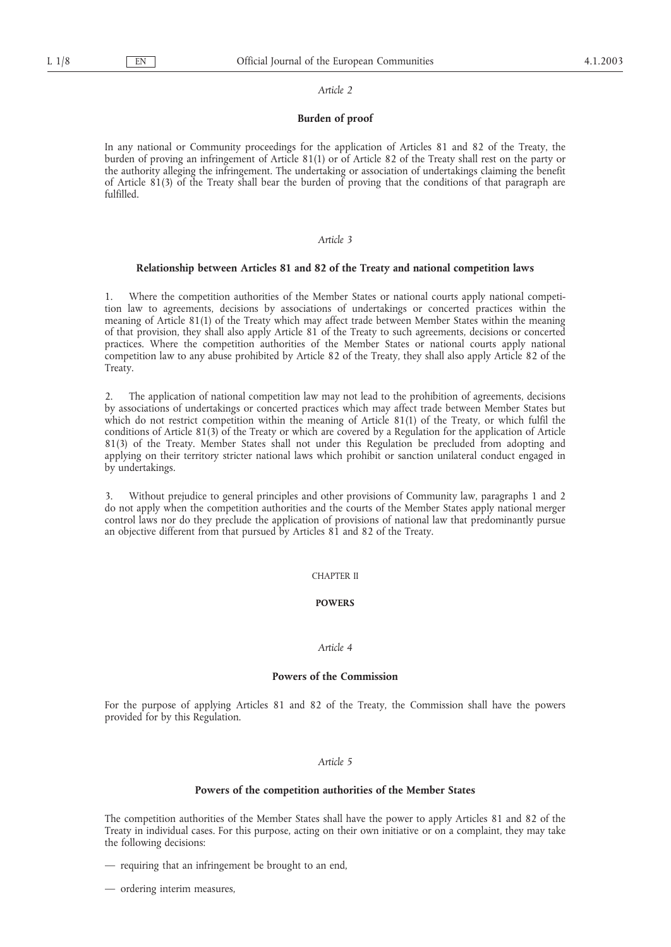### **Burden of proof**

In any national or Community proceedings for the application of Articles 81 and 82 of the Treaty, the burden of proving an infringement of Article 81(1) or of Article 82 of the Treaty shall rest on the party or the authority alleging the infringement. The undertaking or association of undertakings claiming the benefit of Article 81(3) of the Treaty shall bear the burden of proving that the conditions of that paragraph are fulfilled.

### *Article 3*

#### **Relationshipbetween Articles 81 and 82 of the Treaty and national competition laws**

1. Where the competition authorities of the Member States or national courts apply national competition law to agreements, decisions by associations of undertakings or concerted practices within the meaning of Article 81(1) of the Treaty which may affect trade between Member States within the meaning of that provision, they shall also apply Article 81 of the Treaty to such agreements, decisions or concerted practices. Where the competition authorities of the Member States or national courts apply national competition law to any abuse prohibited by Article 82 of the Treaty, they shall also apply Article 82 of the Treaty.

2. The application of national competition law may not lead to the prohibition of agreements, decisions by associations of undertakings or concerted practices which may affect trade between Member States but which do not restrict competition within the meaning of Article 81(1) of the Treaty, or which fulfil the conditions of Article 81(3) of the Treaty or which are covered by a Regulation for the application of Article 81(3) of the Treaty. Member States shall not under this Regulation be precluded from adopting and applying on their territory stricter national laws which prohibit or sanction unilateral conduct engaged in by undertakings.

3. Without prejudice to general principles and other provisions of Community law, paragraphs 1 and 2 do not apply when the competition authorities and the courts of the Member States apply national merger control laws nor do they preclude the application of provisions of national law that predominantly pursue an objective different from that pursued by Articles 81 and 82 of the Treaty.

### CHAPTER II

### **POWERS**

#### *Article 4*

#### **Powers of the Commission**

For the purpose of applying Articles 81 and 82 of the Treaty, the Commission shall have the powers provided for by this Regulation.

#### *Article 5*

#### **Powers of the competition authorities of the Member States**

The competition authorities of the Member States shall have the power to apply Articles 81 and 82 of the Treaty in individual cases. For this purpose, acting on their own initiative or on a complaint, they may take the following decisions:

- requiring that an infringement be brought to an end,
- ordering interim measures,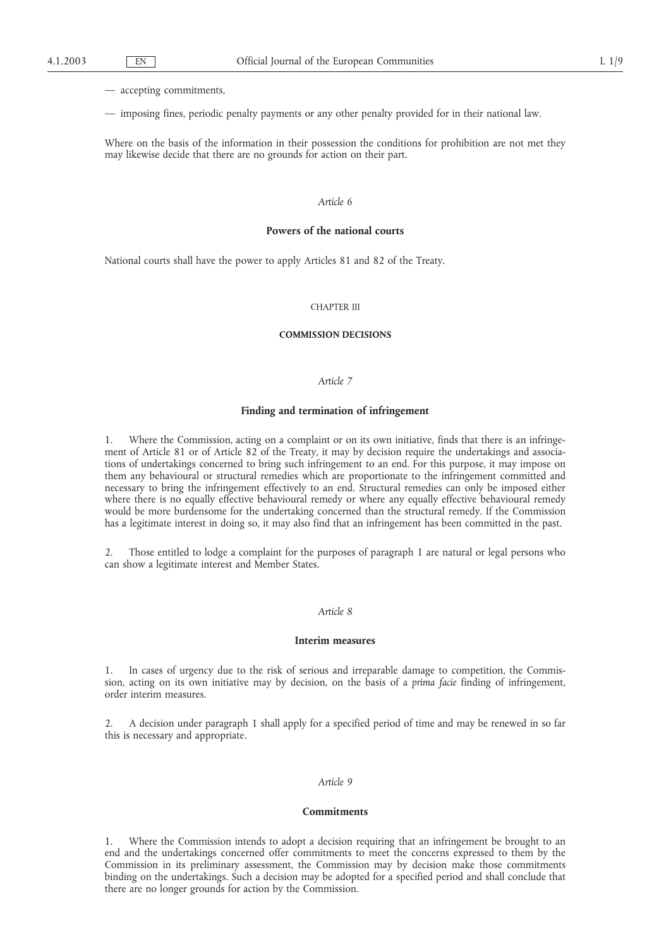— accepting commitments,

— imposing fines, periodic penalty payments or any other penalty provided for in their national law.

Where on the basis of the information in their possession the conditions for prohibition are not met they may likewise decide that there are no grounds for action on their part.

### *Article 6*

### **Powers of the national courts**

National courts shall have the power to apply Articles 81 and 82 of the Treaty.

### CHAPTER III

#### **COMMISSION DECISIONS**

### *Article 7*

#### **Finding and termination of infringement**

1. Where the Commission, acting on a complaint or on its own initiative, finds that there is an infringement of Article 81 or of Article 82 of the Treaty, it may by decision require the undertakings and associations of undertakings concerned to bring such infringement to an end. For this purpose, it may impose on them any behavioural or structural remedies which are proportionate to the infringement committed and necessary to bring the infringement effectively to an end. Structural remedies can only be imposed either where there is no equally effective behavioural remedy or where any equally effective behavioural remedy would be more burdensome for the undertaking concerned than the structural remedy. If the Commission has a legitimate interest in doing so, it may also find that an infringement has been committed in the past.

2. Those entitled to lodge a complaint for the purposes of paragraph 1 are natural or legal persons who can show a legitimate interest and Member States.

### *Article 8*

### **Interim measures**

1. In cases of urgency due to the risk of serious and irreparable damage to competition, the Commission, acting on its own initiative may by decision, on the basis of a *prima facie* finding of infringement, order interim measures.

2. A decision under paragraph 1 shall apply for a specified period of time and may be renewed in so far this is necessary and appropriate.

#### *Article 9*

#### **Commitments**

1. Where the Commission intends to adopt a decision requiring that an infringement be brought to an end and the undertakings concerned offer commitments to meet the concerns expressed to them by the Commission in its preliminary assessment, the Commission may by decision make those commitments binding on the undertakings. Such a decision may be adopted for a specified period and shall conclude that there are no longer grounds for action by the Commission.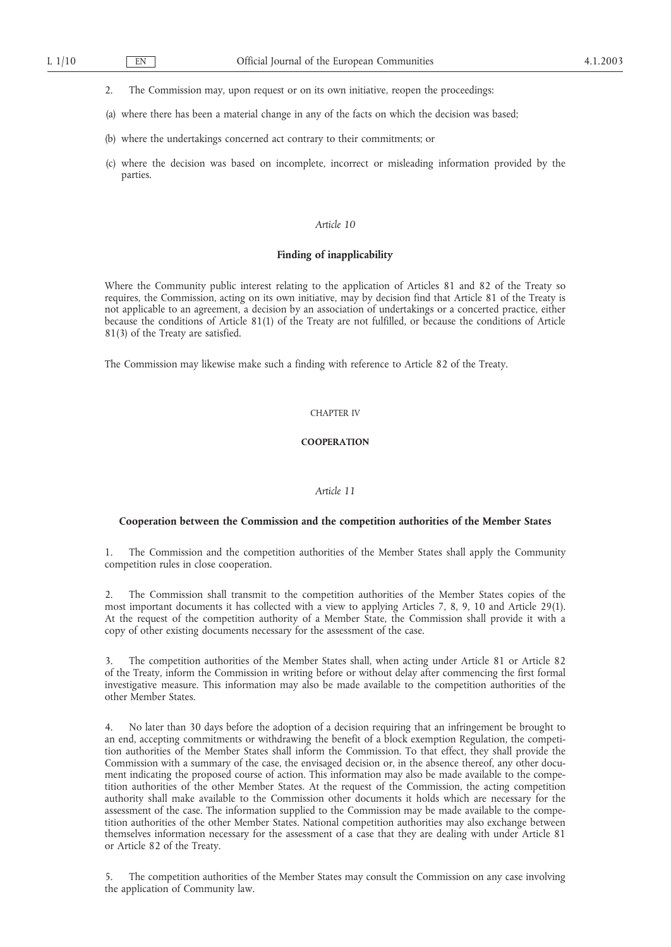- 2. The Commission may, upon request or on its own initiative, reopen the proceedings:
- (a) where there has been a material change in any of the facts on which the decision was based;
- (b) where the undertakings concerned act contrary to their commitments; or
- (c) where the decision was based on incomplete, incorrect or misleading information provided by the parties.

#### **Finding of inapplicability**

Where the Community public interest relating to the application of Articles 81 and 82 of the Treaty so requires, the Commission, acting on its own initiative, may by decision find that Article 81 of the Treaty is not applicable to an agreement, a decision by an association of undertakings or a concerted practice, either because the conditions of Article 81(1) of the Treaty are not fulfilled, or because the conditions of Article 81(3) of the Treaty are satisfied.

The Commission may likewise make such a finding with reference to Article 82 of the Treaty.

### CHAPTER IV

### **COOPERATION**

### *Article 11*

# **Cooperation between the Commission and the competition authorities of the Member States**

1. The Commission and the competition authorities of the Member States shall apply the Community competition rules in close cooperation.

2. The Commission shall transmit to the competition authorities of the Member States copies of the most important documents it has collected with a view to applying Articles 7, 8, 9, 10 and Article 29(1). At the request of the competition authority of a Member State, the Commission shall provide it with a copy of other existing documents necessary for the assessment of the case.

3. The competition authorities of the Member States shall, when acting under Article 81 or Article 82 of the Treaty, inform the Commission in writing before or without delay after commencing the first formal investigative measure. This information may also be made available to the competition authorities of the other Member States.

4. No later than 30 days before the adoption of a decision requiring that an infringement be brought to an end, accepting commitments or withdrawing the benefit of a block exemption Regulation, the competition authorities of the Member States shall inform the Commission. To that effect, they shall provide the Commission with a summary of the case, the envisaged decision or, in the absence thereof, any other document indicating the proposed course of action. This information may also be made available to the competition authorities of the other Member States. At the request of the Commission, the acting competition authority shall make available to the Commission other documents it holds which are necessary for the assessment of the case. The information supplied to the Commission may be made available to the competition authorities of the other Member States. National competition authorities may also exchange between themselves information necessary for the assessment of a case that they are dealing with under Article 81 or Article 82 of the Treaty.

The competition authorities of the Member States may consult the Commission on any case involving the application of Community law.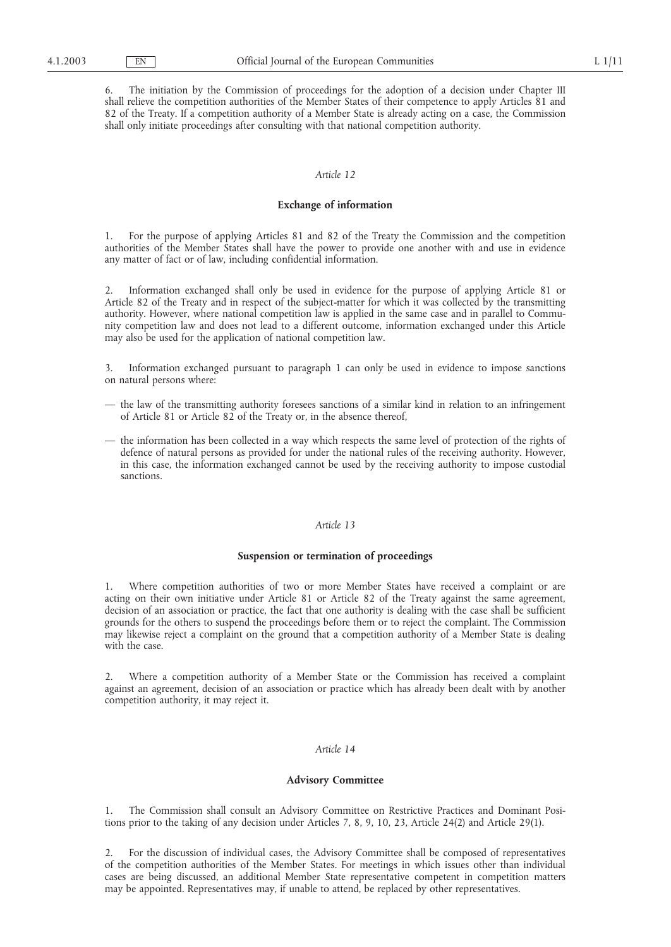6. The initiation by the Commission of proceedings for the adoption of a decision under Chapter III shall relieve the competition authorities of the Member States of their competence to apply Articles 81 and 82 of the Treaty. If a competition authority of a Member State is already acting on a case, the Commission shall only initiate proceedings after consulting with that national competition authority.

#### *Article 12*

### **Exchange of information**

1. For the purpose of applying Articles 81 and 82 of the Treaty the Commission and the competition authorities of the Member States shall have the power to provide one another with and use in evidence any matter of fact or of law, including confidential information.

2. Information exchanged shall only be used in evidence for the purpose of applying Article 81 or Article 82 of the Treaty and in respect of the subject-matter for which it was collected by the transmitting authority. However, where national competition law is applied in the same case and in parallel to Community competition law and does not lead to a different outcome, information exchanged under this Article may also be used for the application of national competition law.

3. Information exchanged pursuant to paragraph 1 can only be used in evidence to impose sanctions on natural persons where:

- the law of the transmitting authority foresees sanctions of a similar kind in relation to an infringement of Article 81 or Article 82 of the Treaty or, in the absence thereof,
- the information has been collected in a way which respects the same level of protection of the rights of defence of natural persons as provided for under the national rules of the receiving authority. However, in this case, the information exchanged cannot be used by the receiving authority to impose custodial sanctions.

### *Article 13*

### **Suspension or termination of proceedings**

1. Where competition authorities of two or more Member States have received a complaint or are acting on their own initiative under Article 81 or Article 82 of the Treaty against the same agreement, decision of an association or practice, the fact that one authority is dealing with the case shall be sufficient grounds for the others to suspend the proceedings before them or to reject the complaint. The Commission may likewise reject a complaint on the ground that a competition authority of a Member State is dealing with the case.

2. Where a competition authority of a Member State or the Commission has received a complaint against an agreement, decision of an association or practice which has already been dealt with by another competition authority, it may reject it.

### *Article 14*

### **Advisory Committee**

1. The Commission shall consult an Advisory Committee on Restrictive Practices and Dominant Positions prior to the taking of any decision under Articles 7, 8, 9, 10, 23, Article 24(2) and Article 29(1).

2. For the discussion of individual cases, the Advisory Committee shall be composed of representatives of the competition authorities of the Member States. For meetings in which issues other than individual cases are being discussed, an additional Member State representative competent in competition matters may be appointed. Representatives may, if unable to attend, be replaced by other representatives.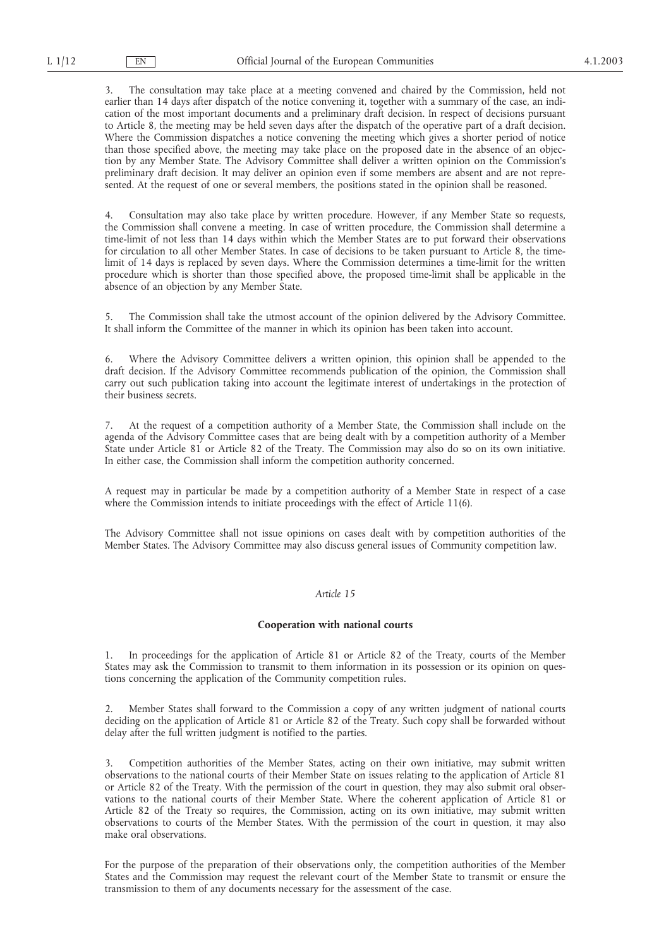3. The consultation may take place at a meeting convened and chaired by the Commission, held not earlier than 14 days after dispatch of the notice convening it, together with a summary of the case, an indication of the most important documents and a preliminary draft decision. In respect of decisions pursuant to Article 8, the meeting may be held seven days after the dispatch of the operative part of a draft decision. Where the Commission dispatches a notice convening the meeting which gives a shorter period of notice than those specified above, the meeting may take place on the proposed date in the absence of an objection by any Member State. The Advisory Committee shall deliver a written opinion on the Commission's preliminary draft decision. It may deliver an opinion even if some members are absent and are not represented. At the request of one or several members, the positions stated in the opinion shall be reasoned.

4. Consultation may also take place by written procedure. However, if any Member State so requests, the Commission shall convene a meeting. In case of written procedure, the Commission shall determine a time-limit of not less than 14 days within which the Member States are to put forward their observations for circulation to all other Member States. In case of decisions to be taken pursuant to Article 8, the timelimit of 14 days is replaced by seven days. Where the Commission determines a time-limit for the written procedure which is shorter than those specified above, the proposed time-limit shall be applicable in the absence of an objection by any Member State.

5. The Commission shall take the utmost account of the opinion delivered by the Advisory Committee. It shall inform the Committee of the manner in which its opinion has been taken into account.

6. Where the Advisory Committee delivers a written opinion, this opinion shall be appended to the draft decision. If the Advisory Committee recommends publication of the opinion, the Commission shall carry out such publication taking into account the legitimate interest of undertakings in the protection of their business secrets.

7. At the request of a competition authority of a Member State, the Commission shall include on the agenda of the Advisory Committee cases that are being dealt with by a competition authority of a Member State under Article 81 or Article 82 of the Treaty. The Commission may also do so on its own initiative. In either case, the Commission shall inform the competition authority concerned.

A request may in particular be made by a competition authority of a Member State in respect of a case where the Commission intends to initiate proceedings with the effect of Article 11(6).

The Advisory Committee shall not issue opinions on cases dealt with by competition authorities of the Member States. The Advisory Committee may also discuss general issues of Community competition law.

### *Article 15*

### **Cooperation with national courts**

1. In proceedings for the application of Article 81 or Article 82 of the Treaty, courts of the Member States may ask the Commission to transmit to them information in its possession or its opinion on questions concerning the application of the Community competition rules.

2. Member States shall forward to the Commission a copy of any written judgment of national courts deciding on the application of Article 81 or Article 82 of the Treaty. Such copy shall be forwarded without delay after the full written judgment is notified to the parties.

3. Competition authorities of the Member States, acting on their own initiative, may submit written observations to the national courts of their Member State on issues relating to the application of Article 81 or Article 82 of the Treaty. With the permission of the court in question, they may also submit oral observations to the national courts of their Member State. Where the coherent application of Article 81 or Article 82 of the Treaty so requires, the Commission, acting on its own initiative, may submit written observations to courts of the Member States. With the permission of the court in question, it may also make oral observations.

For the purpose of the preparation of their observations only, the competition authorities of the Member States and the Commission may request the relevant court of the Member State to transmit or ensure the transmission to them of any documents necessary for the assessment of the case.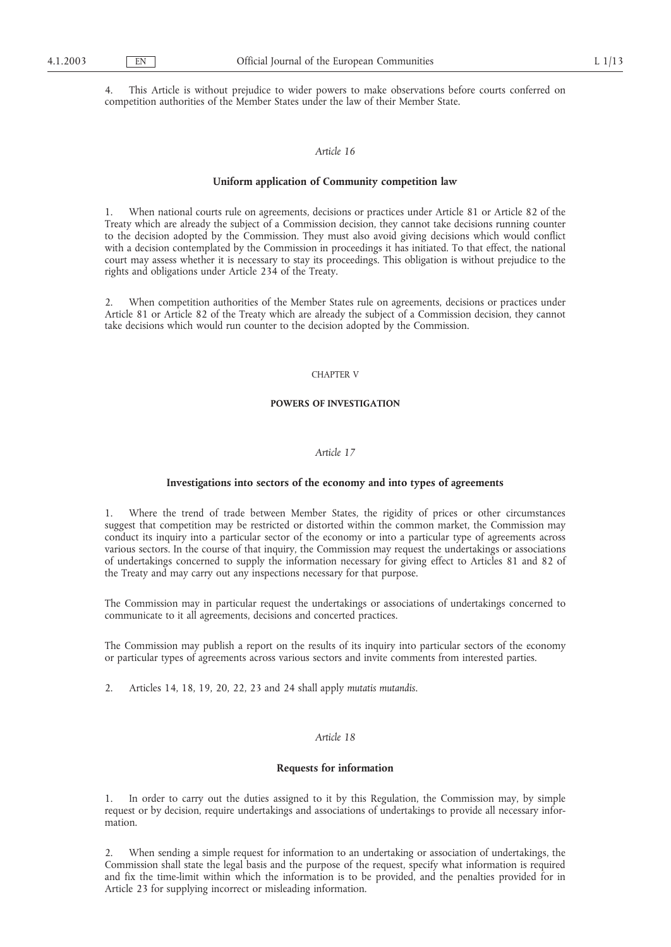4. This Article is without prejudice to wider powers to make observations before courts conferred on competition authorities of the Member States under the law of their Member State.

#### *Article 16*

#### **Uniform application of Community competition law**

1. When national courts rule on agreements, decisions or practices under Article 81 or Article 82 of the Treaty which are already the subject of a Commission decision, they cannot take decisions running counter to the decision adopted by the Commission. They must also avoid giving decisions which would conflict with a decision contemplated by the Commission in proceedings it has initiated. To that effect, the national court may assess whether it is necessary to stay its proceedings. This obligation is without prejudice to the rights and obligations under Article 234 of the Treaty.

2. When competition authorities of the Member States rule on agreements, decisions or practices under Article 81 or Article 82 of the Treaty which are already the subject of a Commission decision, they cannot take decisions which would run counter to the decision adopted by the Commission.

### CHAPTER V

#### **POWERS OF INVESTIGATION**

### *Article 17*

#### **Investigations into sectors of the economy and into types of agreements**

1. Where the trend of trade between Member States, the rigidity of prices or other circumstances suggest that competition may be restricted or distorted within the common market, the Commission may conduct its inquiry into a particular sector of the economy or into a particular type of agreements across various sectors. In the course of that inquiry, the Commission may request the undertakings or associations of undertakings concerned to supply the information necessary for giving effect to Articles 81 and 82 of the Treaty and may carry out any inspections necessary for that purpose.

The Commission may in particular request the undertakings or associations of undertakings concerned to communicate to it all agreements, decisions and concerted practices.

The Commission may publish a report on the results of its inquiry into particular sectors of the economy or particular types of agreements across various sectors and invite comments from interested parties.

2. Articles 14, 18, 19, 20, 22, 23 and 24 shall apply *mutatis mutandis*.

#### *Article 18*

# **Requests for information**

1. In order to carry out the duties assigned to it by this Regulation, the Commission may, by simple request or by decision, require undertakings and associations of undertakings to provide all necessary information.

2. When sending a simple request for information to an undertaking or association of undertakings, the Commission shall state the legal basis and the purpose of the request, specify what information is required and fix the time-limit within which the information is to be provided, and the penalties provided for in Article 23 for supplying incorrect or misleading information.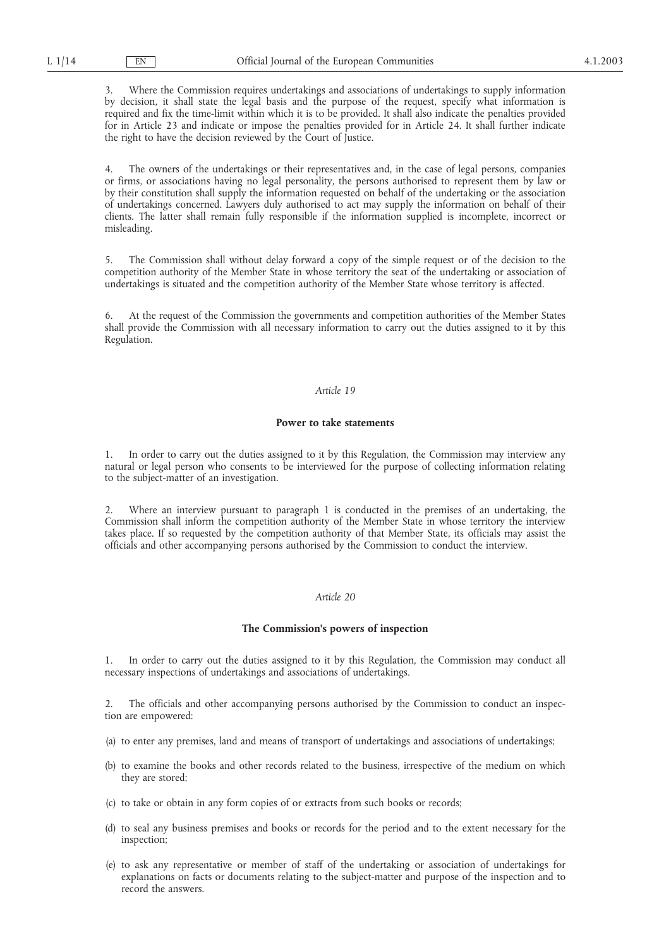3. Where the Commission requires undertakings and associations of undertakings to supply information by decision, it shall state the legal basis and the purpose of the request, specify what information is required and fix the time-limit within which it is to be provided. It shall also indicate the penalties provided for in Article 23 and indicate or impose the penalties provided for in Article 24. It shall further indicate the right to have the decision reviewed by the Court of Justice.

4. The owners of the undertakings or their representatives and, in the case of legal persons, companies or firms, or associations having no legal personality, the persons authorised to represent them by law or by their constitution shall supply the information requested on behalf of the undertaking or the association of undertakings concerned. Lawyers duly authorised to act may supply the information on behalf of their clients. The latter shall remain fully responsible if the information supplied is incomplete, incorrect or misleading.

5. The Commission shall without delay forward a copy of the simple request or of the decision to the competition authority of the Member State in whose territory the seat of the undertaking or association of undertakings is situated and the competition authority of the Member State whose territory is affected.

6. At the request of the Commission the governments and competition authorities of the Member States shall provide the Commission with all necessary information to carry out the duties assigned to it by this Regulation.

#### *Article 19*

### **Power to take statements**

1. In order to carry out the duties assigned to it by this Regulation, the Commission may interview any natural or legal person who consents to be interviewed for the purpose of collecting information relating to the subject-matter of an investigation.

Where an interview pursuant to paragraph 1 is conducted in the premises of an undertaking, the Commission shall inform the competition authority of the Member State in whose territory the interview takes place. If so requested by the competition authority of that Member State, its officials may assist the officials and other accompanying persons authorised by the Commission to conduct the interview.

### *Article 20*

### **The Commission's powers of inspection**

1. In order to carry out the duties assigned to it by this Regulation, the Commission may conduct all necessary inspections of undertakings and associations of undertakings.

2. The officials and other accompanying persons authorised by the Commission to conduct an inspection are empowered:

- (a) to enter any premises, land and means of transport of undertakings and associations of undertakings;
- (b) to examine the books and other records related to the business, irrespective of the medium on which they are stored;
- (c) to take or obtain in any formcopies of or extracts fromsuch books or records;
- (d) to seal any business premises and books or records for the period and to the extent necessary for the inspection;
- (e) to ask any representative or member of staff of the undertaking or association of undertakings for explanations on facts or documents relating to the subject-matter and purpose of the inspection and to record the answers.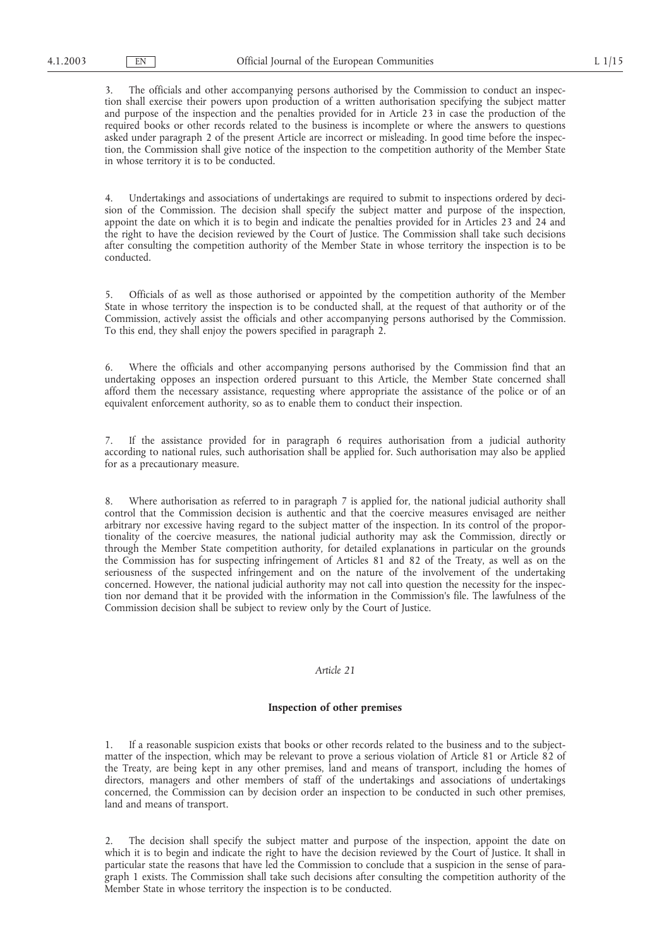3. The officials and other accompanying persons authorised by the Commission to conduct an inspection shall exercise their powers upon production of a written authorisation specifying the subject matter and purpose of the inspection and the penalties provided for in Article 23 in case the production of the required books or other records related to the business is incomplete or where the answers to questions asked under paragraph 2 of the present Article are incorrect or misleading. In good time before the inspection, the Commission shall give notice of the inspection to the competition authority of the Member State in whose territory it is to be conducted.

4. Undertakings and associations of undertakings are required to submit to inspections ordered by decision of the Commission. The decision shall specify the subject matter and purpose of the inspection, appoint the date on which it is to begin and indicate the penalties provided for in Articles 23 and 24 and the right to have the decision reviewed by the Court of Justice. The Commission shall take such decisions after consulting the competition authority of the Member State in whose territory the inspection is to be conducted.

5. Officials of as well as those authorised or appointed by the competition authority of the Member State in whose territory the inspection is to be conducted shall, at the request of that authority or of the Commission, actively assist the officials and other accompanying persons authorised by the Commission. To this end, they shall enjoy the powers specified in paragraph 2.

6. Where the officials and other accompanying persons authorised by the Commission find that an undertaking opposes an inspection ordered pursuant to this Article, the Member State concerned shall afford them the necessary assistance, requesting where appropriate the assistance of the police or of an equivalent enforcement authority, so as to enable them to conduct their inspection.

7. If the assistance provided for in paragraph 6 requires authorisation froma judicial authority according to national rules, such authorisation shall be applied for. Such authorisation may also be applied for as a precautionary measure.

8. Where authorisation as referred to in paragraph 7 is applied for, the national judicial authority shall control that the Commission decision is authentic and that the coercive measures envisaged are neither arbitrary nor excessive having regard to the subject matter of the inspection. In its control of the proportionality of the coercive measures, the national judicial authority may ask the Commission, directly or through the Member State competition authority, for detailed explanations in particular on the grounds the Commission has for suspecting infringement of Articles 81 and 82 of the Treaty, as well as on the seriousness of the suspected infringement and on the nature of the involvement of the undertaking concerned. However, the national judicial authority may not call into question the necessity for the inspection nor demand that it be provided with the information in the Commission's file. The lawfulness of the Commission decision shall be subject to review only by the Court of Justice.

### *Article 21*

### **Inspection of other premises**

1. If a reasonable suspicion exists that books or other records related to the business and to the subjectmatter of the inspection, which may be relevant to prove a serious violation of Article 81 or Article 82 of the Treaty, are being kept in any other premises, land and means of transport, including the homes of directors, managers and other members of staff of the undertakings and associations of undertakings concerned, the Commission can by decision order an inspection to be conducted in such other premises, land and means of transport.

2. The decision shall specify the subject matter and purpose of the inspection, appoint the date on which it is to begin and indicate the right to have the decision reviewed by the Court of Justice. It shall in particular state the reasons that have led the Commission to conclude that a suspicion in the sense of paragraph 1 exists. The Commission shall take such decisions after consulting the competition authority of the Member State in whose territory the inspection is to be conducted.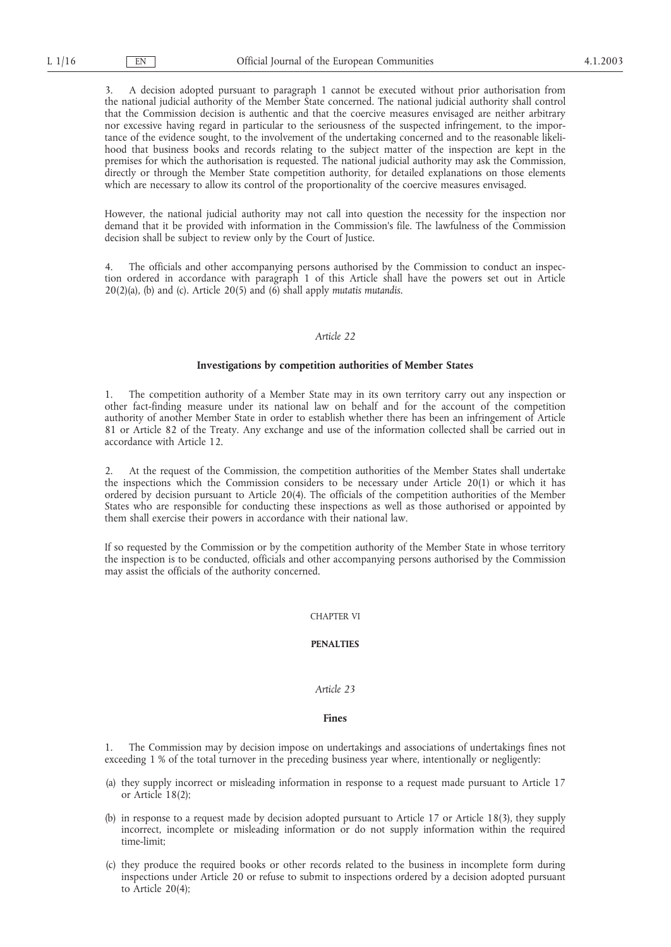3. A decision adopted pursuant to paragraph 1 cannot be executed without prior authorisation from the national judicial authority of the Member State concerned. The national judicial authority shall control that the Commission decision is authentic and that the coercive measures envisaged are neither arbitrary nor excessive having regard in particular to the seriousness of the suspected infringement, to the importance of the evidence sought, to the involvement of the undertaking concerned and to the reasonable likelihood that business books and records relating to the subject matter of the inspection are kept in the premises for which the authorisation is requested. The national judicial authority may ask the Commission, directly or through the Member State competition authority, for detailed explanations on those elements which are necessary to allow its control of the proportionality of the coercive measures envisaged.

However, the national judicial authority may not call into question the necessity for the inspection nor demand that it be provided with information in the Commission's file. The lawfulness of the Commission decision shall be subject to review only by the Court of Justice.

4. The officials and other accompanying persons authorised by the Commission to conduct an inspection ordered in accordance with paragraph 1 of this Article shall have the powers set out in Article 20(2)(a), (b) and (c). Article 20(5) and (6) shall apply *mutatis mutandis*.

# *Article 22*

### **Investigations by competition authorities of Member States**

1. The competition authority of a Member State may in its own territory carry out any inspection or other fact-finding measure under its national law on behalf and for the account of the competition authority of another Member State in order to establish whether there has been an infringement of Article 81 or Article 82 of the Treaty. Any exchange and use of the information collected shall be carried out in accordance with Article 12.

2. At the request of the Commission, the competition authorities of the Member States shall undertake the inspections which the Commission considers to be necessary under Article 20(1) or which it has ordered by decision pursuant to Article 20(4). The officials of the competition authorities of the Member States who are responsible for conducting these inspections as well as those authorised or appointed by themshall exercise their powers in accordance with their national law.

If so requested by the Commission or by the competition authority of the Member State in whose territory the inspection is to be conducted, officials and other accompanying persons authorised by the Commission may assist the officials of the authority concerned.

### CHAPTER VI

### **PENALTIES**

#### *Article 23*

#### **Fines**

1. The Commission may by decision impose on undertakings and associations of undertakings fines not exceeding 1 % of the total turnover in the preceding business year where, intentionally or negligently:

- (a) they supply incorrect or misleading information in response to a request made pursuant to Article 17 or Article 18(2);
- (b) in response to a request made by decision adopted pursuant to Article 17 or Article 18(3), they supply incorrect, incomplete or misleading information or do not supply information within the required time-limit;
- (c) they produce the required books or other records related to the business in incomplete form during inspections under Article 20 or refuse to submit to inspections ordered by a decision adopted pursuant to Article 20(4);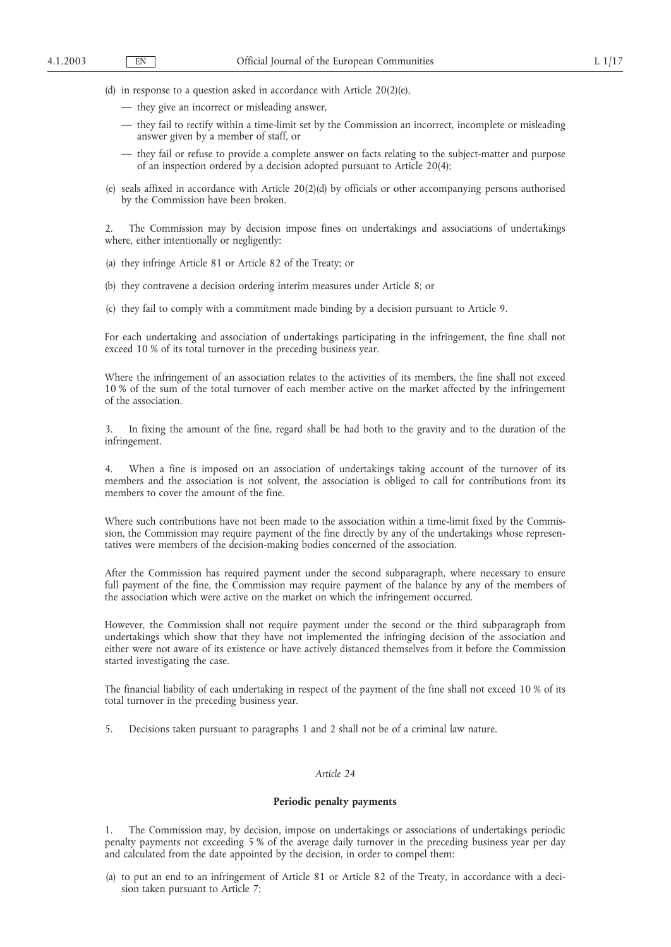- (d) in response to a question asked in accordance with Article 20(2)(e),
	- they give an incorrect or misleading answer,
	- they fail to rectify within a time-limit set by the Commission an incorrect, incomplete or misleading answer given by a member of staff, or
	- they fail or refuse to provide a complete answer on facts relating to the subject-matter and purpose of an inspection ordered by a decision adopted pursuant to Article 20(4);
- (e) seals affixed in accordance with Article 20(2)(d) by officials or other accompanying persons authorised by the Commission have been broken.

2. The Commission may by decision impose fines on undertakings and associations of undertakings where, either intentionally or negligently:

- (a) they infringe Article 81 or Article 82 of the Treaty; or
- (b) they contravene a decision ordering interim measures under Article 8; or
- (c) they fail to comply with a commitment made binding by a decision pursuant to Article 9.

For each undertaking and association of undertakings participating in the infringement, the fine shall not exceed 10 % of its total turnover in the preceding business year.

Where the infringement of an association relates to the activities of its members, the fine shall not exceed 10 % of the sum of the total turnover of each member active on the market affected by the infringement of the association.

In fixing the amount of the fine, regard shall be had both to the gravity and to the duration of the infringement.

4. When a fine is imposed on an association of undertakings taking account of the turnover of its members and the association is not solvent, the association is obliged to call for contributions from its members to cover the amount of the fine.

Where such contributions have not been made to the association within a time-limit fixed by the Commission, the Commission may require payment of the fine directly by any of the undertakings whose representatives were members of the decision-making bodies concerned of the association.

After the Commission has required payment under the second subparagraph, where necessary to ensure full payment of the fine, the Commission may require payment of the balance by any of the members of the association which were active on the market on which the infringement occurred.

However, the Commission shall not require payment under the second or the third subparagraph from undertakings which show that they have not implemented the infringing decision of the association and either were not aware of its existence or have actively distanced themselves from it before the Commission started investigating the case.

The financial liability of each undertaking in respect of the payment of the fine shall not exceed 10 % of its total turnover in the preceding business year.

5. Decisions taken pursuant to paragraphs 1 and 2 shall not be of a criminal law nature.

### *Article 24*

### **Periodic penalty payments**

1. The Commission may, by decision, impose on undertakings or associations of undertakings periodic penalty payments not exceeding 5 % of the average daily turnover in the preceding business year per day and calculated from the date appointed by the decision, in order to compel them:

(a) to put an end to an infringement of Article 81 or Article 82 of the Treaty, in accordance with a decision taken pursuant to Article 7;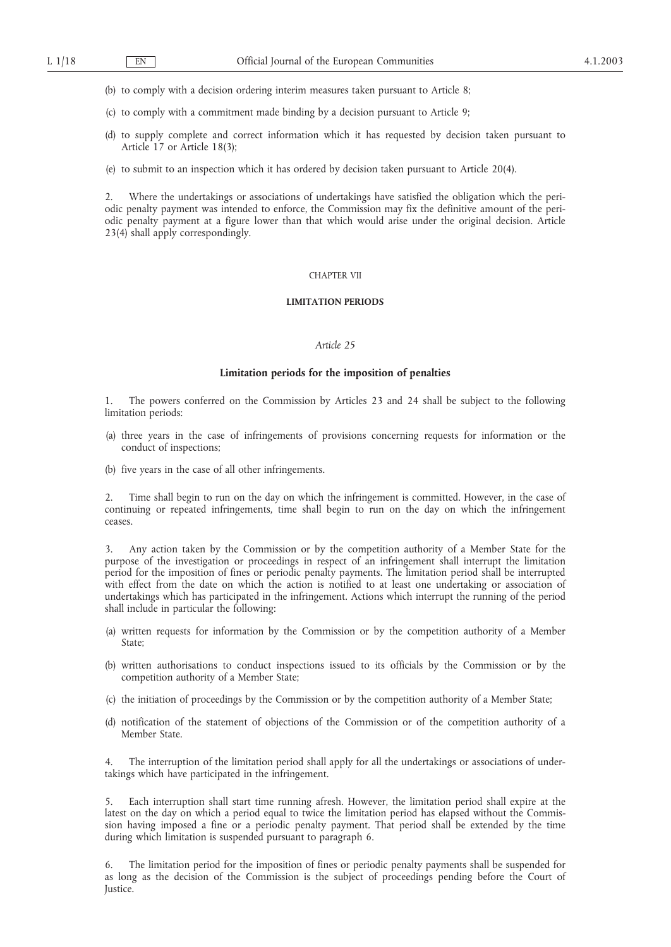(b) to comply with a decision ordering interim measures taken pursuant to Article 8;

- (c) to comply with a commitment made binding by a decision pursuant to Article 9;
- (d) to supply complete and correct information which it has requested by decision taken pursuant to Article 17 or Article 18(3);
- (e) to submit to an inspection which it has ordered by decision taken pursuant to Article 20(4).

2. Where the undertakings or associations of undertakings have satisfied the obligation which the periodic penalty payment was intended to enforce, the Commission may fix the definitive amount of the periodic penalty payment at a figure lower than that which would arise under the original decision. Article 23(4) shall apply correspondingly.

# CHAPTER VII

### **LIMITATION PERIODS**

#### *Article 25*

#### **Limitation periods for the imposition of penalties**

1. The powers conferred on the Commission by Articles 23 and 24 shall be subject to the following limitation periods:

- (a) three years in the case of infringements of provisions concerning requests for information or the conduct of inspections;
- (b) five years in the case of all other infringements.

2. Time shall begin to run on the day on which the infringement is committed. However, in the case of continuing or repeated infringements, time shall begin to run on the day on which the infringement ceases.

3. Any action taken by the Commission or by the competition authority of a Member State for the purpose of the investigation or proceedings in respect of an infringement shall interrupt the limitation period for the imposition of fines or periodic penalty payments. The limitation period shall be interrupted with effect from the date on which the action is notified to at least one undertaking or association of undertakings which has participated in the infringement. Actions which interrupt the running of the period shall include in particular the following:

- (a) written requests for information by the Commission or by the competition authority of a Member State;
- (b) written authorisations to conduct inspections issued to its officials by the Commission or by the competition authority of a Member State;
- (c) the initiation of proceedings by the Commission or by the competition authority of a Member State;
- (d) notification of the statement of objections of the Commission or of the competition authority of a Member State.

The interruption of the limitation period shall apply for all the undertakings or associations of undertakings which have participated in the infringement.

5. Each interruption shall start time running afresh. However, the limitation period shall expire at the latest on the day on which a period equal to twice the limitation period has elapsed without the Commission having imposed a fine or a periodic penalty payment. That period shall be extended by the time during which limitation is suspended pursuant to paragraph 6.

6. The limitation period for the imposition of fines or periodic penalty payments shall be suspended for as long as the decision of the Commission is the subject of proceedings pending before the Court of Justice.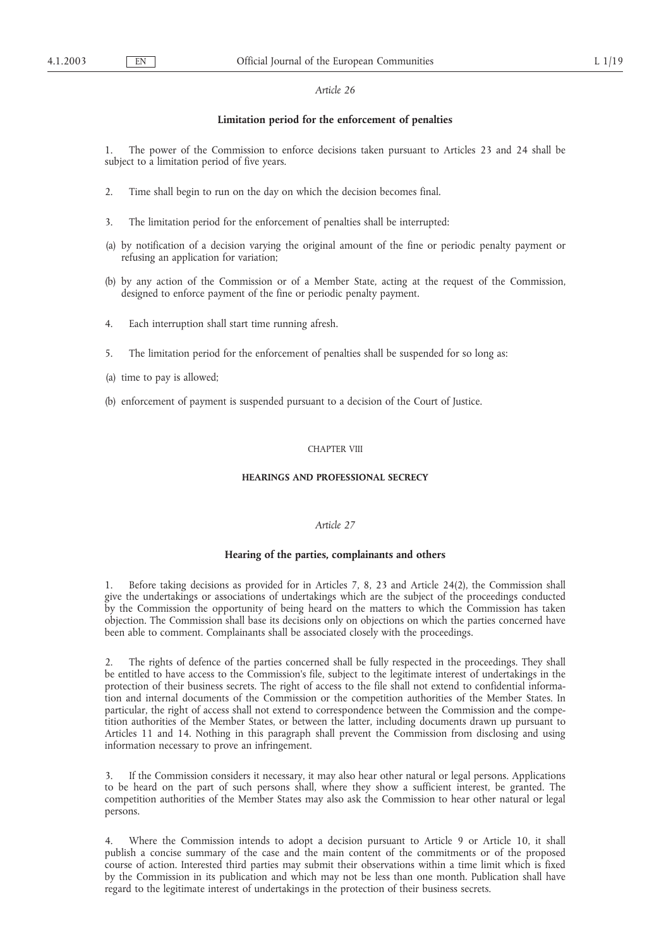### **Limitation period for the enforcement of penalties**

1. The power of the Commission to enforce decisions taken pursuant to Articles 23 and 24 shall be subject to a limitation period of five years.

- 2. Time shall begin to run on the day on which the decision becomes final.
- 3. The limitation period for the enforcement of penalties shall be interrupted:
- (a) by notification of a decision varying the original amount of the fine or periodic penalty payment or refusing an application for variation;
- (b) by any action of the Commission or of a Member State, acting at the request of the Commission, designed to enforce payment of the fine or periodic penalty payment.
- 4. Each interruption shall start time running afresh.
- 5. The limitation period for the enforcement of penalties shall be suspended for so long as:
- (a) time to pay is allowed;
- (b) enforcement of payment is suspended pursuant to a decision of the Court of Justice.

### CHAPTER VIII

### **HEARINGS AND PROFESSIONAL SECRECY**

### *Article 27*

#### **Hearing of the parties, complainants and others**

1. Before taking decisions as provided for in Articles 7, 8, 23 and Article 24(2), the Commission shall give the undertakings or associations of undertakings which are the subject of the proceedings conducted by the Commission the opportunity of being heard on the matters to which the Commission has taken objection. The Commission shall base its decisions only on objections on which the parties concerned have been able to comment. Complainants shall be associated closely with the proceedings.

2. The rights of defence of the parties concerned shall be fully respected in the proceedings. They shall be entitled to have access to the Commission's file, subject to the legitimate interest of undertakings in the protection of their business secrets. The right of access to the file shall not extend to confidential information and internal documents of the Commission or the competition authorities of the Member States. In particular, the right of access shall not extend to correspondence between the Commission and the competition authorities of the Member States, or between the latter, including documents drawn up pursuant to Articles 11 and 14. Nothing in this paragraph shall prevent the Commission from disclosing and using information necessary to prove an infringement.

If the Commission considers it necessary, it may also hear other natural or legal persons. Applications to be heard on the part of such persons shall, where they show a sufficient interest, be granted. The competition authorities of the Member States may also ask the Commission to hear other natural or legal persons.

4. Where the Commission intends to adopt a decision pursuant to Article 9 or Article 10, it shall publish a concise summary of the case and the main content of the commitments or of the proposed course of action. Interested third parties may submit their observations within a time limit which is fixed by the Commission in its publication and which may not be less than one month. Publication shall have regard to the legitimate interest of undertakings in the protection of their business secrets.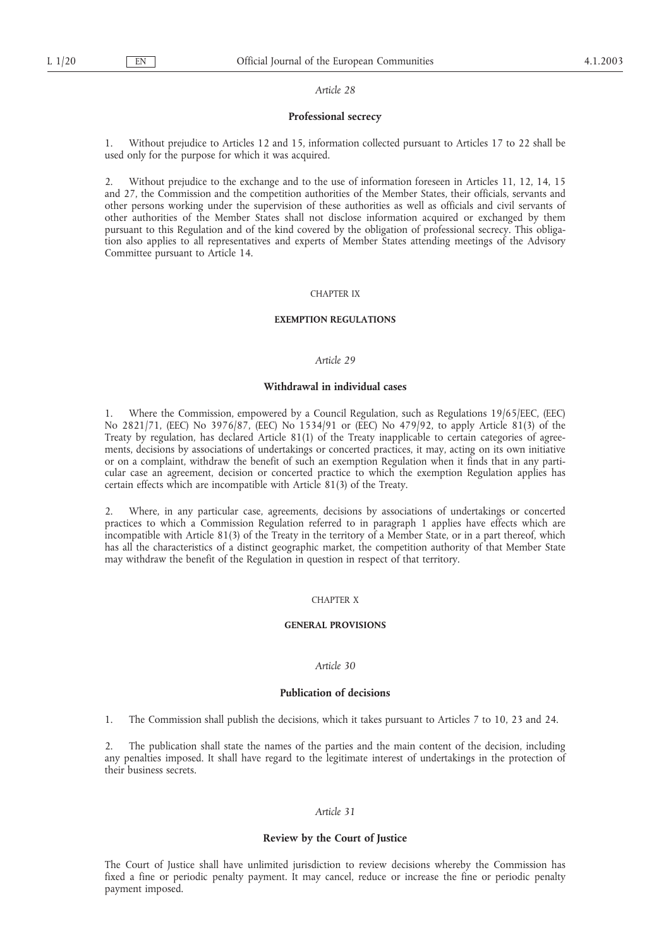### **Professional secrecy**

1. Without prejudice to Articles 12 and 15, information collected pursuant to Articles 17 to 22 shall be used only for the purpose for which it was acquired.

2. Without prejudice to the exchange and to the use of information foreseen in Articles 11, 12, 14, 15 and 27, the Commission and the competition authorities of the Member States, their officials, servants and other persons working under the supervision of these authorities as well as officials and civil servants of other authorities of the Member States shall not disclose information acquired or exchanged by them pursuant to this Regulation and of the kind covered by the obligation of professional secrecy. This obligation also applies to all representatives and experts of Member States attending meetings of the Advisory Committee pursuant to Article 14.

### CHAPTER IX

### **EXEMPTION REGULATIONS**

### *Article 29*

### **Withdrawal in individual cases**

1. Where the Commission, empowered by a Council Regulation, such as Regulations 19/65/EEC, (EEC) No 2821/71, (EEC) No 3976/87, (EEC) No 1534/91 or (EEC) No 479/92, to apply Article 81(3) of the Treaty by regulation, has declared Article 81(1) of the Treaty inapplicable to certain categories of agreements, decisions by associations of undertakings or concerted practices, it may, acting on its own initiative or on a complaint, withdraw the benefit of such an exemption Regulation when it finds that in any particular case an agreement, decision or concerted practice to which the exemption Regulation applies has certain effects which are incompatible with Article 81(3) of the Treaty.

2. Where, in any particular case, agreements, decisions by associations of undertakings or concerted practices to which a Commission Regulation referred to in paragraph 1 applies have effects which are incompatible with Article 81(3) of the Treaty in the territory of a Member State, or in a part thereof, which has all the characteristics of a distinct geographic market, the competition authority of that Member State may withdraw the benefit of the Regulation in question in respect of that territory.

### CHAPTER X

### **GENERAL PROVISIONS**

#### *Article 30*

### **Publication of decisions**

1. The Commission shall publish the decisions, which it takes pursuant to Articles 7 to 10, 23 and 24.

2. The publication shall state the names of the parties and the main content of the decision, including any penalties imposed. It shall have regard to the legitimate interest of undertakings in the protection of their business secrets.

### *Article 31*

# **Review by the Court of Justice**

The Court of Justice shall have unlimited jurisdiction to review decisions whereby the Commission has fixed a fine or periodic penalty payment. It may cancel, reduce or increase the fine or periodic penalty payment imposed.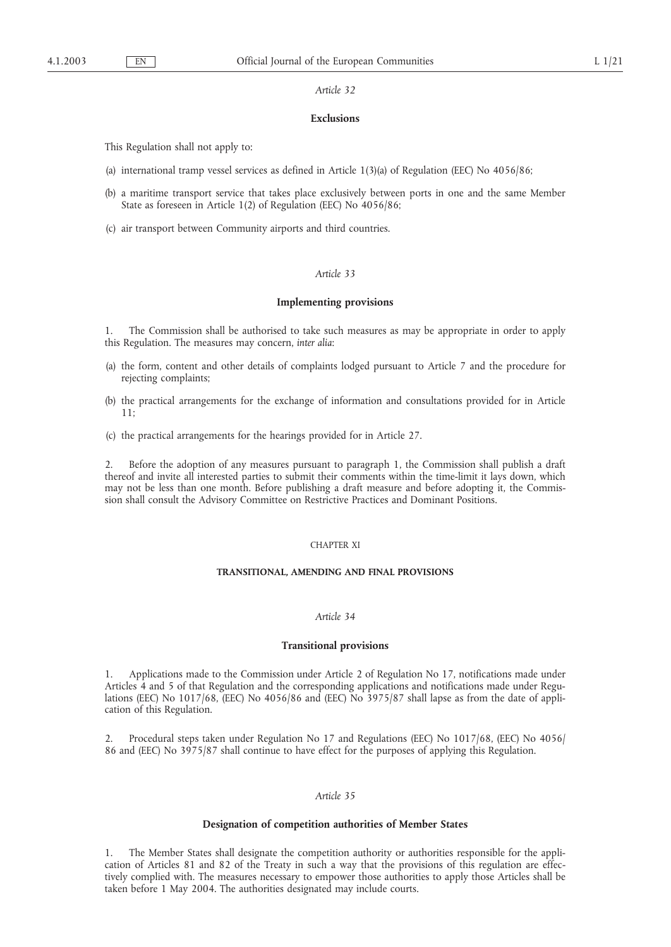### **Exclusions**

This Regulation shall not apply to:

- (a) international tramp vessel services as defined in Article 1(3)(a) of Regulation (EEC) No 4056/86;
- (b) a maritime transport service that takes place exclusively between ports in one and the same Member State as foreseen in Article 1(2) of Regulation (EEC) No 4056/86;
- (c) air transport between Community airports and third countries.

#### *Article 33*

#### **Implementing provisions**

1. The Commission shall be authorised to take such measures as may be appropriate in order to apply this Regulation. The measures may concern, *inter alia*:

- (a) the form, content and other details of complaints lodged pursuant to Article 7 and the procedure for rejecting complaints;
- (b) the practical arrangements for the exchange of information and consultations provided for in Article 11;
- (c) the practical arrangements for the hearings provided for in Article 27.

2. Before the adoption of any measures pursuant to paragraph 1, the Commission shall publish a draft thereof and invite all interested parties to submit their comments within the time-limit it lays down, which may not be less than one month. Before publishing a draft measure and before adopting it, the Commission shall consult the Advisory Committee on Restrictive Practices and Dominant Positions.

### CHAPTER XI

#### **TRANSITIONAL, AMENDING AND FINAL PROVISIONS**

#### *Article 34*

#### **Transitional provisions**

1. Applications made to the Commission under Article 2 of Regulation No 17, notifications made under Articles 4 and 5 of that Regulation and the corresponding applications and notifications made under Regulations (EEC) No 1017/68, (EEC) No 4056/86 and (EEC) No 3975/87 shall lapse as fromthe date of application of this Regulation.

2. Procedural steps taken under Regulation No 17 and Regulations (EEC) No 1017/68, (EEC) No 4056/ 86 and (EEC) No 3975/87 shall continue to have effect for the purposes of applying this Regulation.

### *Article 35*

#### **Designation of competition authorities of Member States**

1. The Member States shall designate the competition authority or authorities responsible for the application of Articles 81 and 82 of the Treaty in such a way that the provisions of this regulation are effectively complied with. The measures necessary to empower those authorities to apply those Articles shall be taken before 1 May 2004. The authorities designated may include courts.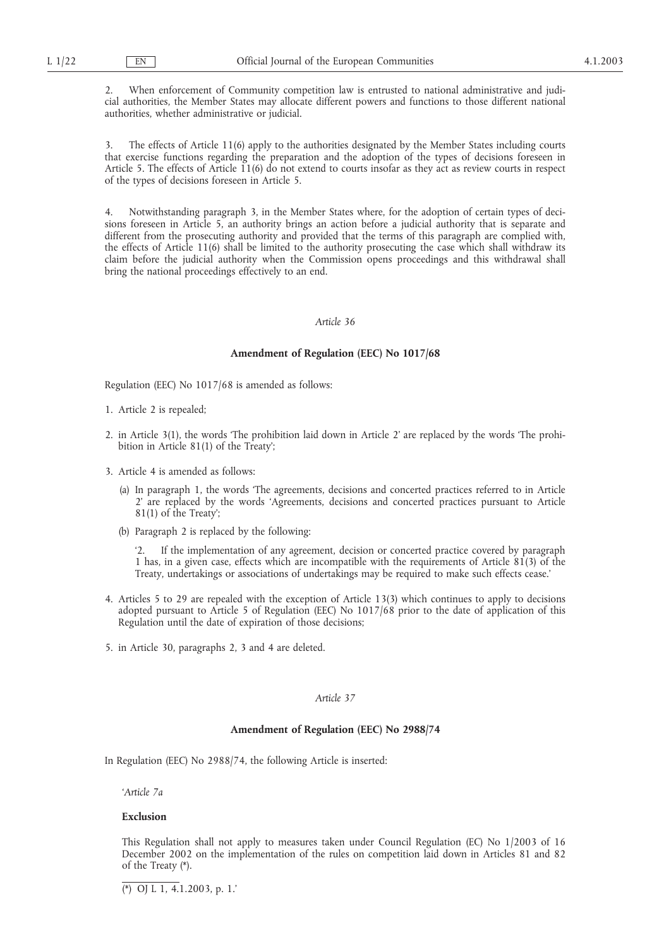2. When enforcement of Community competition law is entrusted to national administrative and judicial authorities, the Member States may allocate different powers and functions to those different national authorities, whether administrative or judicial.

The effects of Article 11(6) apply to the authorities designated by the Member States including courts that exercise functions regarding the preparation and the adoption of the types of decisions foreseen in Article 5. The effects of Article 11(6) do not extend to courts insofar as they act as review courts in respect of the types of decisions foreseen in Article 5.

4. Notwithstanding paragraph 3, in the Member States where, for the adoption of certain types of decisions foreseen in Article 5, an authority brings an action before a judicial authority that is separate and different from the prosecuting authority and provided that the terms of this paragraph are complied with, the effects of Article 11(6) shall be limited to the authority prosecuting the case which shall withdraw its claim before the judicial authority when the Commission opens proceedings and this withdrawal shall bring the national proceedings effectively to an end.

### *Article 36*

### **Amendment of Regulation (EEC) No 1017/68**

Regulation (EEC) No 1017/68 is amended as follows:

- 1. Article 2 is repealed;
- 2. in Article 3(1), the words 'The prohibition laid down in Article 2' are replaced by the words 'The prohibition in Article 81(1) of the Treaty';
- 3. Article 4 is amended as follows:
	- (a) In paragraph 1, the words 'The agreements, decisions and concerted practices referred to in Article 2' are replaced by the words 'Agreements, decisions and concerted practices pursuant to Article 81(1) of the Treaty';
	- (b) Paragraph 2 is replaced by the following:

'2. If the implementation of any agreement, decision or concerted practice covered by paragraph 1 has, in a given case, effects which are incompatible with the requirements of Article 81(3) of the Treaty, undertakings or associations of undertakings may be required to make such effects cease.'

- 4. Articles 5 to 29 are repealed with the exception of Article 13(3) which continues to apply to decisions adopted pursuant to Article 5 of Regulation (EEC) No 1017/68 prior to the date of application of this Regulation until the date of expiration of those decisions;
- 5. in Article 30, paragraphs 2, 3 and 4 are deleted.

#### *Article 37*

### **Amendment of Regulation (EEC) No 2988/74**

In Regulation (EEC) No 2988/74, the following Article is inserted:

*'Article 7a*

### **Exclusion**

This Regulation shall not apply to measures taken under Council Regulation (EC) No 1/2003 of 16 December 2002 on the implementation of the rules on competition laid down in Articles 81 and 82 of the Treaty (\*).

<sup>(\*)</sup> OJ L 1, 4.1.2003, p. 1.'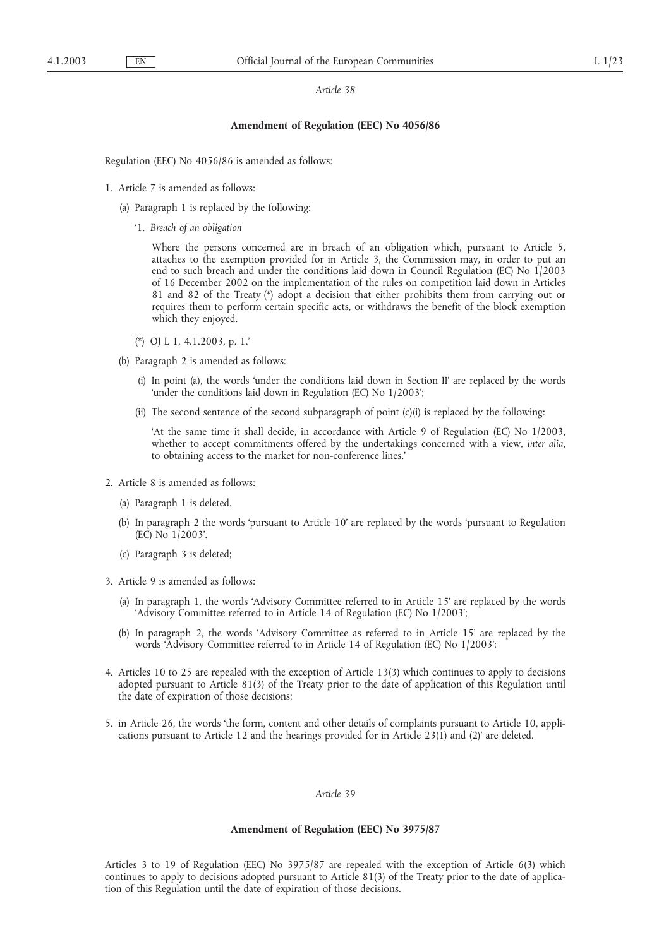#### **Amendment of Regulation (EEC) No 4056/86**

Regulation (EEC) No 4056/86 is amended as follows:

- 1. Article 7 is amended as follows:
	- (a) Paragraph 1 is replaced by the following:
		- '1. *Breach of an obligation*

Where the persons concerned are in breach of an obligation which, pursuant to Article 5, attaches to the exemption provided for in Article 3, the Commission may, in order to put an end to such breach and under the conditions laid down in Council Regulation (EC) No 1/2003 of 16 December 2002 on the implementation of the rules on competition laid down in Articles 81 and 82 of the Treaty (\*) adopt a decision that either prohibits themfromcarrying out or requires them to perform certain specific acts, or withdraws the benefit of the block exemption which they enjoyed.

- (\*) OJ L 1, 4.1.2003, p. 1.'
- (b) Paragraph 2 is amended as follows:
	- (i) In point (a), the words 'under the conditions laid down in Section II' are replaced by the words 'under the conditions laid down in Regulation (EC) No 1/2003';
	- (ii) The second sentence of the second subparagraph of point  $(c)(i)$  is replaced by the following:

'At the same time it shall decide, in accordance with Article 9 of Regulation (EC) No 1/2003, whether to accept commitments offered by the undertakings concerned with a view, *inter alia*, to obtaining access to the market for non-conference lines.'

- 2. Article 8 is amended as follows:
	- (a) Paragraph 1 is deleted.
	- (b) In paragraph 2 the words 'pursuant to Article 10' are replaced by the words 'pursuant to Regulation (EC) No 1/2003'.
	- (c) Paragraph 3 is deleted;
- 3. Article 9 is amended as follows:
	- (a) In paragraph 1, the words 'Advisory Committee referred to in Article 15' are replaced by the words 'Advisory Committee referred to in Article 14 of Regulation (EC) No 1/2003';
	- (b) In paragraph 2, the words 'Advisory Committee as referred to in Article 15' are replaced by the words 'Advisory Committee referred to in Article 14 of Regulation (EC) No 1/2003';
- 4. Articles 10 to 25 are repealed with the exception of Article 13(3) which continues to apply to decisions adopted pursuant to Article 81(3) of the Treaty prior to the date of application of this Regulation until the date of expiration of those decisions;
- 5. in Article 26, the words 'the form, content and other details of complaints pursuant to Article 10, applications pursuant to Article 12 and the hearings provided for in Article  $23(1)$  and (2)' are deleted.

### *Article 39*

#### **Amendment of Regulation (EEC) No 3975/87**

Articles 3 to 19 of Regulation (EEC) No 3975/87 are repealed with the exception of Article 6(3) which continues to apply to decisions adopted pursuant to Article 81(3) of the Treaty prior to the date of application of this Regulation until the date of expiration of those decisions.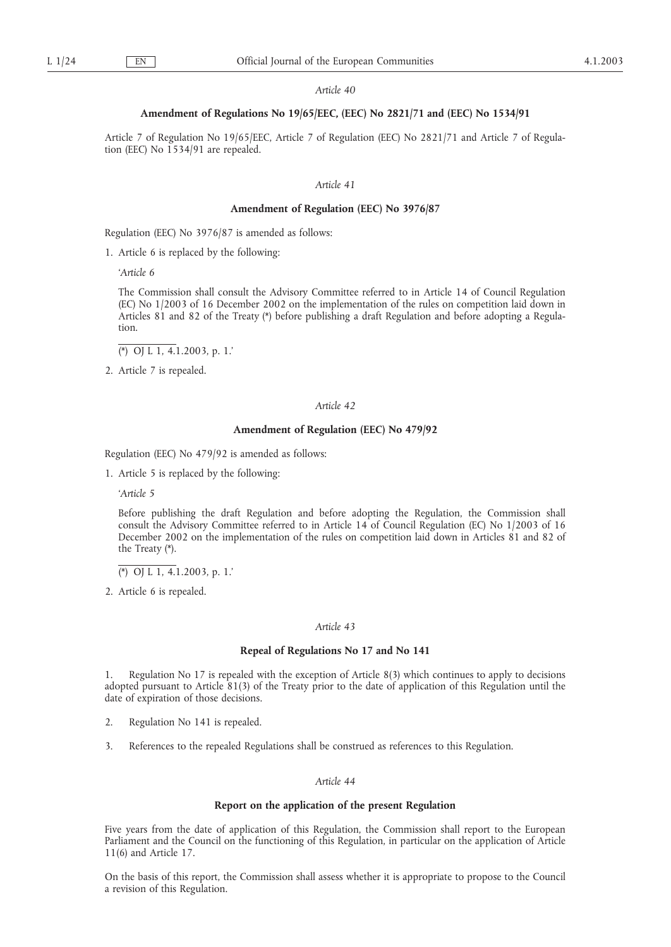### **Amendment of Regulations No 19/65/EEC, (EEC) No 2821/71 and (EEC) No 1534/91**

Article 7 of Regulation No 19/65/EEC, Article 7 of Regulation (EEC) No 2821/71 and Article 7 of Regulation (EEC) No 1534/91 are repealed.

#### *Article 41*

#### **Amendment of Regulation (EEC) No 3976/87**

Regulation (EEC) No 3976/87 is amended as follows:

1. Article 6 is replaced by the following:

*'Article 6*

The Commission shall consult the Advisory Committee referred to in Article 14 of Council Regulation (EC) No 1/2003 of 16 December 2002 on the implementation of the rules on competition laid down in Articles 81 and 82 of the Treaty (\*) before publishing a draft Regulation and before adopting a Regulation.

 $\overline{(*)}$  OJ L 1, 4.1.2003, p. 1.'

2. Article 7 is repealed.

#### *Article 42*

### **Amendment of Regulation (EEC) No 479/92**

Regulation (EEC) No 479/92 is amended as follows:

1. Article 5 is replaced by the following:

*'Article 5*

Before publishing the draft Regulation and before adopting the Regulation, the Commission shall consult the Advisory Committee referred to in Article 14 of Council Regulation (EC) No 1/2003 of 16 December 2002 on the implementation of the rules on competition laid down in Articles 81 and 82 of the Treaty (\*).

(\*) OJ L 1, 4.1.2003, p. 1.'

2. Article 6 is repealed.

#### *Article 43*

### **Repeal of Regulations No 17 and No 141**

1. Regulation No 17 is repealed with the exception of Article 8(3) which continues to apply to decisions adopted pursuant to Article 81(3) of the Treaty prior to the date of application of this Regulation until the date of expiration of those decisions.

- 2. Regulation No 141 is repealed.
- 3. References to the repealed Regulations shall be construed as references to this Regulation.

### *Article 44*

# **Report on the application of the present Regulation**

Five years from the date of application of this Regulation, the Commission shall report to the European Parliament and the Council on the functioning of this Regulation, in particular on the application of Article 11(6) and Article 17.

On the basis of this report, the Commission shall assess whether it is appropriate to propose to the Council a revision of this Regulation.